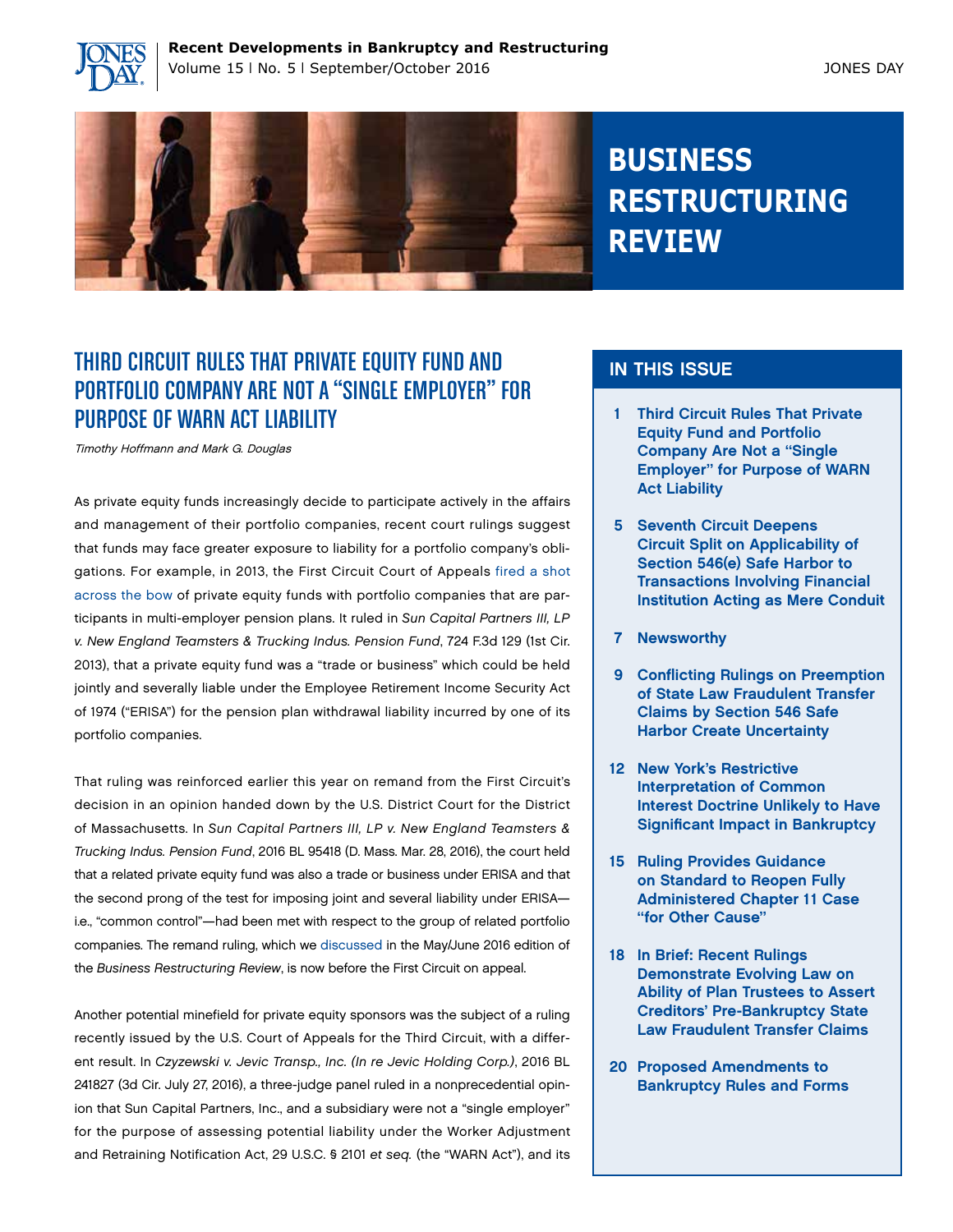



## **BUSINESS RESTRUCTURING REVIEW**

## THIRD CIRCUIT RULES THAT PRIVATE EQUITY FUND AND PORTFOLIO COMPANY ARE NOT A "SINGLE EMPLOYER" FOR PURPOSE OF WARN ACT LIABILITY

Timothy Hoffmann and Mark G. Douglas

As private equity funds increasingly decide to participate actively in the affairs and management of their portfolio companies, recent court rulings suggest that funds may face greater exposure to liability for a portfolio company's obligations. For example, in 2013, the First Circuit Court of Appeals [fired a shot](http://www.jonesday.com/the-first-circuit-fires-a-shot-across-the-bow-of-private-equity-funds-too-much-control-of-portfolio-companies-may-lead-to-pension-plan-withdrawal-liability-11-30-2013/) [across the bow](http://www.jonesday.com/the-first-circuit-fires-a-shot-across-the-bow-of-private-equity-funds-too-much-control-of-portfolio-companies-may-lead-to-pension-plan-withdrawal-liability-11-30-2013/) of private equity funds with portfolio companies that are participants in multi-employer pension plans. It ruled in *Sun Capital Partners III, LP v. New England Teamsters & Trucking Indus. Pension Fund*, 724 F.3d 129 (1st Cir. 2013), that a private equity fund was a "trade or business" which could be held jointly and severally liable under the Employee Retirement Income Security Act of 1974 ("ERISA") for the pension plan withdrawal liability incurred by one of its portfolio companies.

That ruling was reinforced earlier this year on remand from the First Circuit's decision in an opinion handed down by the U.S. District Court for the District of Massachusetts. In *Sun Capital Partners III, LP v. New England Teamsters & Trucking Indus. Pension Fund*, 2016 BL 95418 (D. Mass. Mar. 28, 2016), the court held that a related private equity fund was also a trade or business under ERISA and that the second prong of the test for imposing joint and several liability under ERISA i.e., "common control"—had been met with respect to the group of related portfolio companies. The remand ruling, which we [discussed](http://www.jonesday.com/isun-capitali-update-district-court-doubles-down-on-imposition-of-pension-liability-for-private-equity-funds-06-01-2016/) in the May/June 2016 edition of the *Business Restructuring Review*, is now before the First Circuit on appeal.

Another potential minefield for private equity sponsors was the subject of a ruling recently issued by the U.S. Court of Appeals for the Third Circuit, with a different result. In *Czyzewski v. Jevic Transp., Inc. (In re Jevic Holding Corp.)*, 2016 BL 241827 (3d Cir. July 27, 2016), a three-judge panel ruled in a nonprecedential opinion that Sun Capital Partners, Inc., and a subsidiary were not a "single employer" for the purpose of assessing potential liability under the Worker Adjustment and Retraining Notification Act, 29 U.S.C. § 2101 *et seq.* (the "WARN Act"), and its

#### IN THIS ISSUE

- 1 Third Circuit Rules That Private Equity Fund and Portfolio Company Are Not a "Single Employer" for Purpose of WARN Act Liability
- 5 Seventh Circuit Deepens Circuit Split on Applicability of Section 546(e) Safe Harbor to Transactions Involving Financial Institution Acting as Mere Conduit
- 7 Newsworthy
- 9 Conflicting Rulings on Preemption of State Law Fraudulent Transfer Claims by Section 546 Safe Harbor Create Uncertainty
- 12 New York's Restrictive Interpretation of Common Interest Doctrine Unlikely to Have Significant Impact in Bankruptcy
- 15 Ruling Provides Guidance on Standard to Reopen Fully Administered Chapter 11 Case "for Other Cause"
- 18 In Brief: Recent Rulings Demonstrate Evolving Law on Ability of Plan Trustees to Assert Creditors' Pre-Bankruptcy State Law Fraudulent Transfer Claims
- 20 Proposed Amendments to Bankruptcy Rules and Forms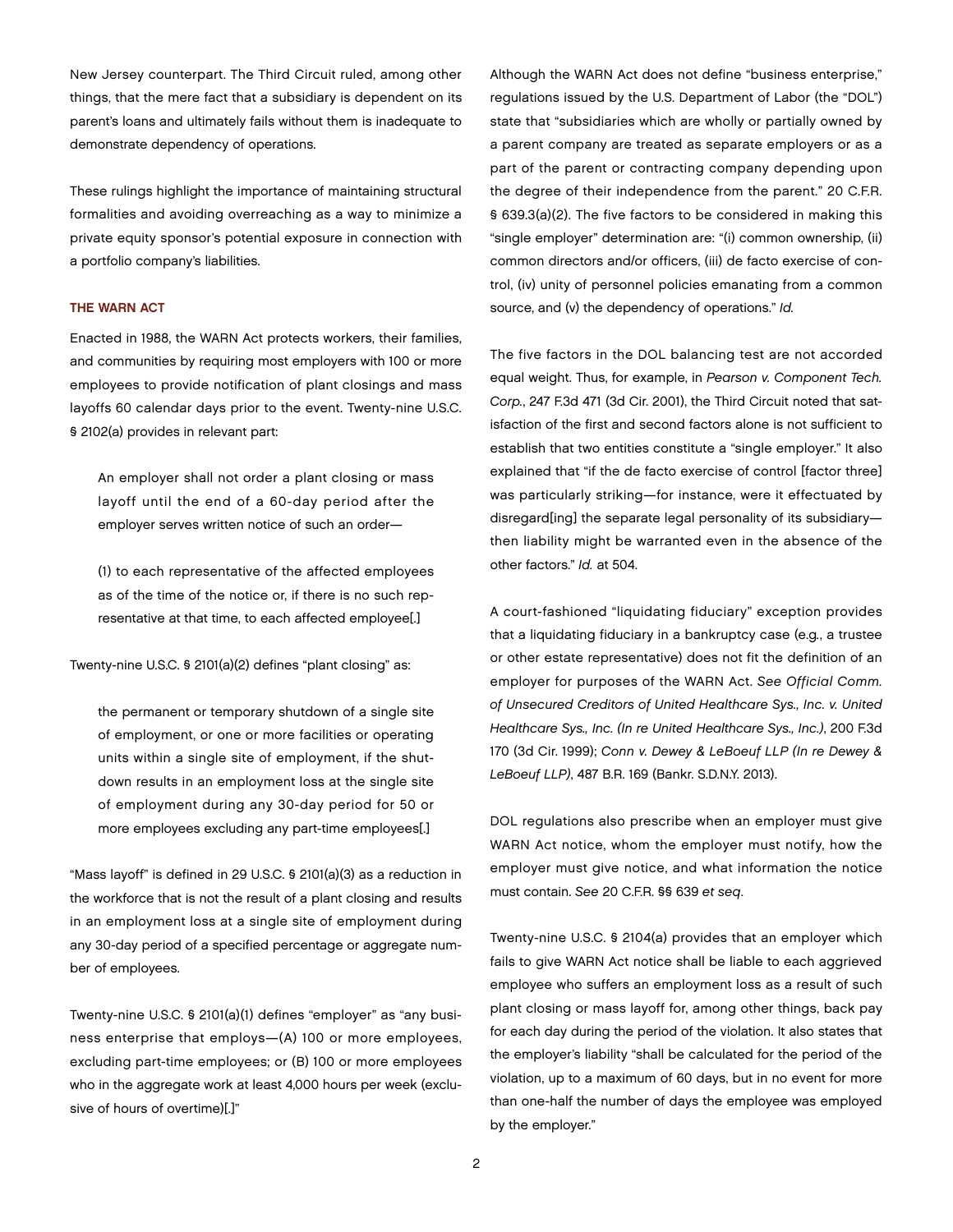New Jersey counterpart. The Third Circuit ruled, among other things, that the mere fact that a subsidiary is dependent on its parent's loans and ultimately fails without them is inadequate to demonstrate dependency of operations.

These rulings highlight the importance of maintaining structural formalities and avoiding overreaching as a way to minimize a private equity sponsor's potential exposure in connection with a portfolio company's liabilities.

#### THE WARN ACT

Enacted in 1988, the WARN Act protects workers, their families, and communities by requiring most employers with 100 or more employees to provide notification of plant closings and mass layoffs 60 calendar days prior to the event. Twenty-nine U.S.C. § 2102(a) provides in relevant part:

An employer shall not order a plant closing or mass layoff until the end of a 60-day period after the employer serves written notice of such an order—

(1) to each representative of the affected employees as of the time of the notice or, if there is no such representative at that time, to each affected employee[.]

Twenty-nine U.S.C. § 2101(a)(2) defines "plant closing" as:

the permanent or temporary shutdown of a single site of employment, or one or more facilities or operating units within a single site of employment, if the shutdown results in an employment loss at the single site of employment during any 30-day period for 50 or more employees excluding any part-time employees[.]

"Mass layoff" is defined in 29 U.S.C. § 2101(a)(3) as a reduction in the workforce that is not the result of a plant closing and results in an employment loss at a single site of employment during any 30-day period of a specified percentage or aggregate number of employees.

Twenty-nine U.S.C. § 2101(a)(1) defines "employer" as "any business enterprise that employs—(A) 100 or more employees, excluding part-time employees; or (B) 100 or more employees who in the aggregate work at least 4,000 hours per week (exclusive of hours of overtime)[.]"

Although the WARN Act does not define "business enterprise," regulations issued by the U.S. Department of Labor (the "DOL") state that "subsidiaries which are wholly or partially owned by a parent company are treated as separate employers or as a part of the parent or contracting company depending upon the degree of their independence from the parent." 20 C.F.R. § 639.3(a)(2). The five factors to be considered in making this "single employer" determination are: "(i) common ownership, (ii) common directors and/or officers, (iii) de facto exercise of control, (iv) unity of personnel policies emanating from a common source, and (v) the dependency of operations." *Id.*

The five factors in the DOL balancing test are not accorded equal weight. Thus, for example, in *Pearson v. Component Tech. Corp.*, 247 F.3d 471 (3d Cir. 2001), the Third Circuit noted that satisfaction of the first and second factors alone is not sufficient to establish that two entities constitute a "single employer." It also explained that "if the de facto exercise of control [factor three] was particularly striking—for instance, were it effectuated by disregard[ing] the separate legal personality of its subsidiary then liability might be warranted even in the absence of the other factors." *Id.* at 504.

A court-fashioned "liquidating fiduciary" exception provides that a liquidating fiduciary in a bankruptcy case (e.g*.*, a trustee or other estate representative) does not fit the definition of an employer for purposes of the WARN Act. *See Official Comm. of Unsecured Creditors of United Healthcare Sys., Inc. v. United Healthcare Sys., Inc. (In re United Healthcare Sys., Inc.)*, 200 F.3d 170 (3d Cir. 1999); *Conn v. Dewey & LeBoeuf LLP (In re Dewey & LeBoeuf LLP)*, 487 B.R. 169 (Bankr. S.D.N.Y. 2013).

DOL regulations also prescribe when an employer must give WARN Act notice, whom the employer must notify, how the employer must give notice, and what information the notice must contain. *See* 20 C.F.R. §§ 639 *et seq*.

Twenty-nine U.S.C. § 2104(a) provides that an employer which fails to give WARN Act notice shall be liable to each aggrieved employee who suffers an employment loss as a result of such plant closing or mass layoff for, among other things, back pay for each day during the period of the violation. It also states that the employer's liability "shall be calculated for the period of the violation, up to a maximum of 60 days, but in no event for more than one-half the number of days the employee was employed by the employer."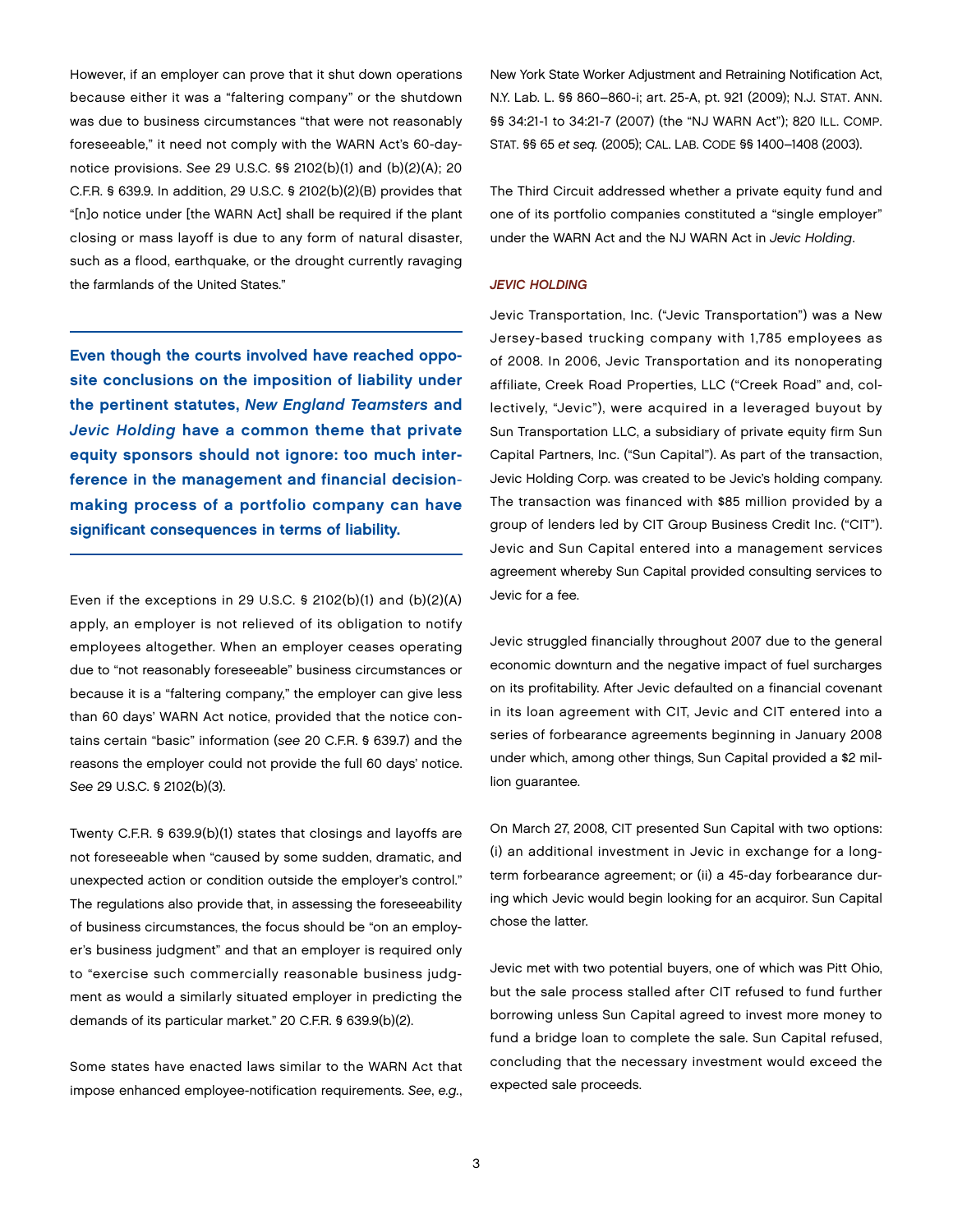However, if an employer can prove that it shut down operations because either it was a "faltering company" or the shutdown was due to business circumstances "that were not reasonably foreseeable," it need not comply with the WARN Act's 60-daynotice provisions. *See* 29 U.S.C. §§ 2102(b)(1) and (b)(2)(A); 20 C.F.R. § 639.9. In addition, 29 U.S.C. § 2102(b)(2)(B) provides that "[n]o notice under [the WARN Act] shall be required if the plant closing or mass layoff is due to any form of natural disaster, such as a flood, earthquake, or the drought currently ravaging the farmlands of the United States."

Even though the courts involved have reached opposite conclusions on the imposition of liability under the pertinent statutes, *New England Teamsters* and *Jevic Holding* have a common theme that private equity sponsors should not ignore: too much interference in the management and financial decisionmaking process of a portfolio company can have significant consequences in terms of liability.

Even if the exceptions in 29 U.S.C. § 2102(b)(1) and (b)(2)(A) apply, an employer is not relieved of its obligation to notify employees altogether. When an employer ceases operating due to "not reasonably foreseeable" business circumstances or because it is a "faltering company," the employer can give less than 60 days' WARN Act notice, provided that the notice contains certain "basic" information (*see* 20 C.F.R. § 639.7) and the reasons the employer could not provide the full 60 days' notice. *See* 29 U.S.C. § 2102(b)(3).

Twenty C.F.R. § 639.9(b)(1) states that closings and layoffs are not foreseeable when "caused by some sudden, dramatic, and unexpected action or condition outside the employer's control." The regulations also provide that, in assessing the foreseeability of business circumstances, the focus should be "on an employer's business judgment" and that an employer is required only to "exercise such commercially reasonable business judgment as would a similarly situated employer in predicting the demands of its particular market." 20 C.F.R. § 639.9(b)(2).

Some states have enacted laws similar to the WARN Act that impose enhanced employee-notification requirements. *See*, *e.g.*, New York State Worker Adjustment and Retraining Notification Act, N.Y. Lab. L. §§ 860–860-i; art. 25-A, pt. 921 (2009); N.J. STAT. ANN. §§ 34:21-1 to 34:21-7 (2007) (the "NJ WARN Act"); 820 ILL. COMP. STAT. §§ 65 *et seq.* (2005); CAL. LAB. CODE §§ 1400–1408 (2003).

The Third Circuit addressed whether a private equity fund and one of its portfolio companies constituted a "single employer" under the WARN Act and the NJ WARN Act in *Jevic Holding*.

#### *JEVIC HOLDING*

Jevic Transportation, Inc. ("Jevic Transportation") was a New Jersey-based trucking company with 1,785 employees as of 2008. In 2006, Jevic Transportation and its nonoperating affiliate, Creek Road Properties, LLC ("Creek Road" and, collectively, "Jevic"), were acquired in a leveraged buyout by Sun Transportation LLC, a subsidiary of private equity firm Sun Capital Partners, Inc. ("Sun Capital"). As part of the transaction, Jevic Holding Corp. was created to be Jevic's holding company. The transaction was financed with \$85 million provided by a group of lenders led by CIT Group Business Credit Inc. ("CIT"). Jevic and Sun Capital entered into a management services agreement whereby Sun Capital provided consulting services to Jevic for a fee.

Jevic struggled financially throughout 2007 due to the general economic downturn and the negative impact of fuel surcharges on its profitability. After Jevic defaulted on a financial covenant in its loan agreement with CIT, Jevic and CIT entered into a series of forbearance agreements beginning in January 2008 under which, among other things, Sun Capital provided a \$2 million guarantee.

On March 27, 2008, CIT presented Sun Capital with two options: (i) an additional investment in Jevic in exchange for a longterm forbearance agreement; or (ii) a 45-day forbearance during which Jevic would begin looking for an acquiror. Sun Capital chose the latter.

Jevic met with two potential buyers, one of which was Pitt Ohio, but the sale process stalled after CIT refused to fund further borrowing unless Sun Capital agreed to invest more money to fund a bridge loan to complete the sale. Sun Capital refused, concluding that the necessary investment would exceed the expected sale proceeds.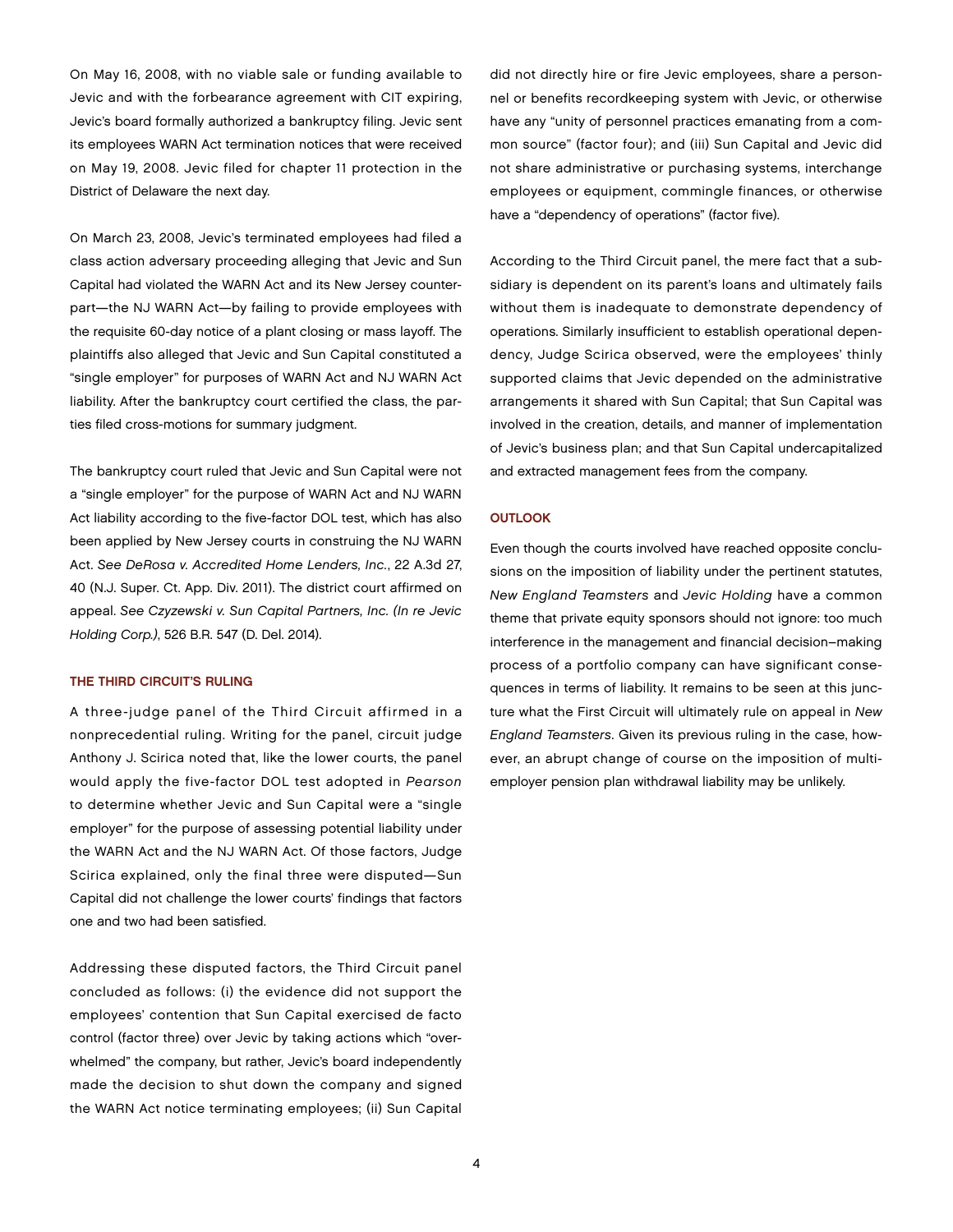On May 16, 2008, with no viable sale or funding available to Jevic and with the forbearance agreement with CIT expiring, Jevic's board formally authorized a bankruptcy filing. Jevic sent its employees WARN Act termination notices that were received on May 19, 2008. Jevic filed for chapter 11 protection in the District of Delaware the next day.

On March 23, 2008, Jevic's terminated employees had filed a class action adversary proceeding alleging that Jevic and Sun Capital had violated the WARN Act and its New Jersey counterpart—the NJ WARN Act—by failing to provide employees with the requisite 60-day notice of a plant closing or mass layoff. The plaintiffs also alleged that Jevic and Sun Capital constituted a "single employer" for purposes of WARN Act and NJ WARN Act liability. After the bankruptcy court certified the class, the parties filed cross-motions for summary judgment.

The bankruptcy court ruled that Jevic and Sun Capital were not a "single employer" for the purpose of WARN Act and NJ WARN Act liability according to the five-factor DOL test, which has also been applied by New Jersey courts in construing the NJ WARN Act. *See DeRosa v. Accredited Home Lenders, Inc.*, 22 A.3d 27, 40 (N.J. Super. Ct. App. Div. 2011). The district court affirmed on appeal. *See Czyzewski v. Sun Capital Partners, Inc. (In re Jevic Holding Corp.)*, 526 B.R. 547 (D. Del. 2014).

#### THE THIRD CIRCUIT'S RULING

A three-judge panel of the Third Circuit affirmed in a nonprecedential ruling. Writing for the panel, circuit judge Anthony J. Scirica noted that, like the lower courts, the panel would apply the five-factor DOL test adopted in *Pearson* to determine whether Jevic and Sun Capital were a "single employer" for the purpose of assessing potential liability under the WARN Act and the NJ WARN Act. Of those factors, Judge Scirica explained, only the final three were disputed—Sun Capital did not challenge the lower courts' findings that factors one and two had been satisfied.

Addressing these disputed factors, the Third Circuit panel concluded as follows: (i) the evidence did not support the employees' contention that Sun Capital exercised de facto control (factor three) over Jevic by taking actions which "overwhelmed" the company, but rather, Jevic's board independently made the decision to shut down the company and signed the WARN Act notice terminating employees; (ii) Sun Capital

did not directly hire or fire Jevic employees, share a personnel or benefits recordkeeping system with Jevic, or otherwise have any "unity of personnel practices emanating from a common source" (factor four); and (iii) Sun Capital and Jevic did not share administrative or purchasing systems, interchange employees or equipment, commingle finances, or otherwise have a "dependency of operations" (factor five).

According to the Third Circuit panel, the mere fact that a subsidiary is dependent on its parent's loans and ultimately fails without them is inadequate to demonstrate dependency of operations. Similarly insufficient to establish operational dependency, Judge Scirica observed, were the employees' thinly supported claims that Jevic depended on the administrative arrangements it shared with Sun Capital; that Sun Capital was involved in the creation, details, and manner of implementation of Jevic's business plan; and that Sun Capital undercapitalized and extracted management fees from the company.

#### **OUTLOOK**

Even though the courts involved have reached opposite conclusions on the imposition of liability under the pertinent statutes, *New England Teamsters* and *Jevic Holding* have a common theme that private equity sponsors should not ignore: too much interference in the management and financial decision–making process of a portfolio company can have significant consequences in terms of liability. It remains to be seen at this juncture what the First Circuit will ultimately rule on appeal in *New England Teamsters*. Given its previous ruling in the case, however, an abrupt change of course on the imposition of multiemployer pension plan withdrawal liability may be unlikely.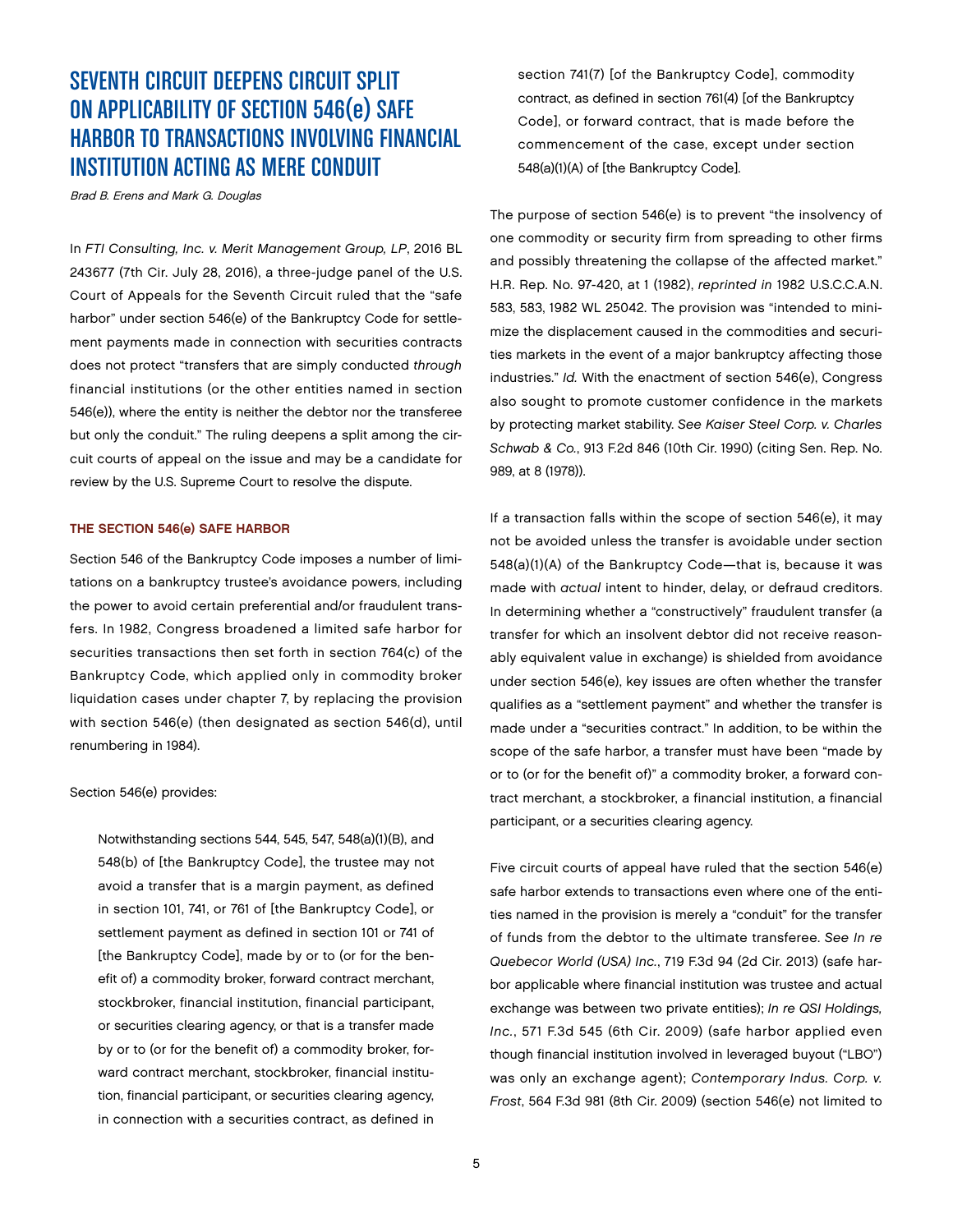### SEVENTH CIRCUIT DEEPENS CIRCUIT SPLIT ON APPLICABILITY OF SECTION 546(e) SAFE HARBOR TO TRANSACTIONS INVOLVING FINANCIAL INSTITUTION ACTING AS MERE CONDUIT

Brad B. Erens and Mark G. Douglas

In *FTI Consulting, Inc. v. Merit Management Group, LP*, 2016 BL 243677 (7th Cir. July 28, 2016), a three-judge panel of the U.S. Court of Appeals for the Seventh Circuit ruled that the "safe harbor" under section 546(e) of the Bankruptcy Code for settlement payments made in connection with securities contracts does not protect "transfers that are simply conducted *through* financial institutions (or the other entities named in section 546(e)), where the entity is neither the debtor nor the transferee but only the conduit." The ruling deepens a split among the circuit courts of appeal on the issue and may be a candidate for review by the U.S. Supreme Court to resolve the dispute.

#### THE SECTION 546(e) SAFE HARBOR

Section 546 of the Bankruptcy Code imposes a number of limitations on a bankruptcy trustee's avoidance powers, including the power to avoid certain preferential and/or fraudulent transfers. In 1982, Congress broadened a limited safe harbor for securities transactions then set forth in section 764(c) of the Bankruptcy Code, which applied only in commodity broker liquidation cases under chapter 7, by replacing the provision with section 546(e) (then designated as section 546(d), until renumbering in 1984).

#### Section 546(e) provides:

Notwithstanding sections 544, 545, 547, 548(a)(1)(B), and 548(b) of [the Bankruptcy Code], the trustee may not avoid a transfer that is a margin payment, as defined in section 101, 741, or 761 of [the Bankruptcy Code], or settlement payment as defined in section 101 or 741 of [the Bankruptcy Code], made by or to (or for the benefit of) a commodity broker, forward contract merchant, stockbroker, financial institution, financial participant, or securities clearing agency, or that is a transfer made by or to (or for the benefit of) a commodity broker, forward contract merchant, stockbroker, financial institution, financial participant, or securities clearing agency, in connection with a securities contract, as defined in

section 741(7) [of the Bankruptcy Code], commodity contract, as defined in section 761(4) [of the Bankruptcy Code], or forward contract, that is made before the commencement of the case, except under section 548(a)(1)(A) of [the Bankruptcy Code].

The purpose of section 546(e) is to prevent "the insolvency of one commodity or security firm from spreading to other firms and possibly threatening the collapse of the affected market." H.R. Rep. No. 97-420, at 1 (1982), *reprinted in* 1982 U.S.C.C.A.N. 583, 583, 1982 WL 25042. The provision was "intended to minimize the displacement caused in the commodities and securities markets in the event of a major bankruptcy affecting those industries." *Id.* With the enactment of section 546(e), Congress also sought to promote customer confidence in the markets by protecting market stability. *See Kaiser Steel Corp. v. Charles Schwab & Co.*, 913 F.2d 846 (10th Cir. 1990) (citing Sen. Rep. No. 989, at 8 (1978)).

If a transaction falls within the scope of section 546(e), it may not be avoided unless the transfer is avoidable under section 548(a)(1)(A) of the Bankruptcy Code—that is, because it was made with *actual* intent to hinder, delay, or defraud creditors. In determining whether a "constructively" fraudulent transfer (a transfer for which an insolvent debtor did not receive reasonably equivalent value in exchange) is shielded from avoidance under section 546(e), key issues are often whether the transfer qualifies as a "settlement payment" and whether the transfer is made under a "securities contract." In addition, to be within the scope of the safe harbor, a transfer must have been "made by or to (or for the benefit of)" a commodity broker, a forward contract merchant, a stockbroker, a financial institution, a financial participant, or a securities clearing agency.

Five circuit courts of appeal have ruled that the section 546(e) safe harbor extends to transactions even where one of the entities named in the provision is merely a "conduit" for the transfer of funds from the debtor to the ultimate transferee. *See In re Quebecor World (USA) Inc.*, 719 F.3d 94 (2d Cir. 2013) (safe harbor applicable where financial institution was trustee and actual exchange was between two private entities); *In re QSI Holdings, Inc.*, 571 F.3d 545 (6th Cir. 2009) (safe harbor applied even though financial institution involved in leveraged buyout ("LBO") was only an exchange agent); *Contemporary Indus. Corp. v. Frost*, 564 F.3d 981 (8th Cir. 2009) (section 546(e) not limited to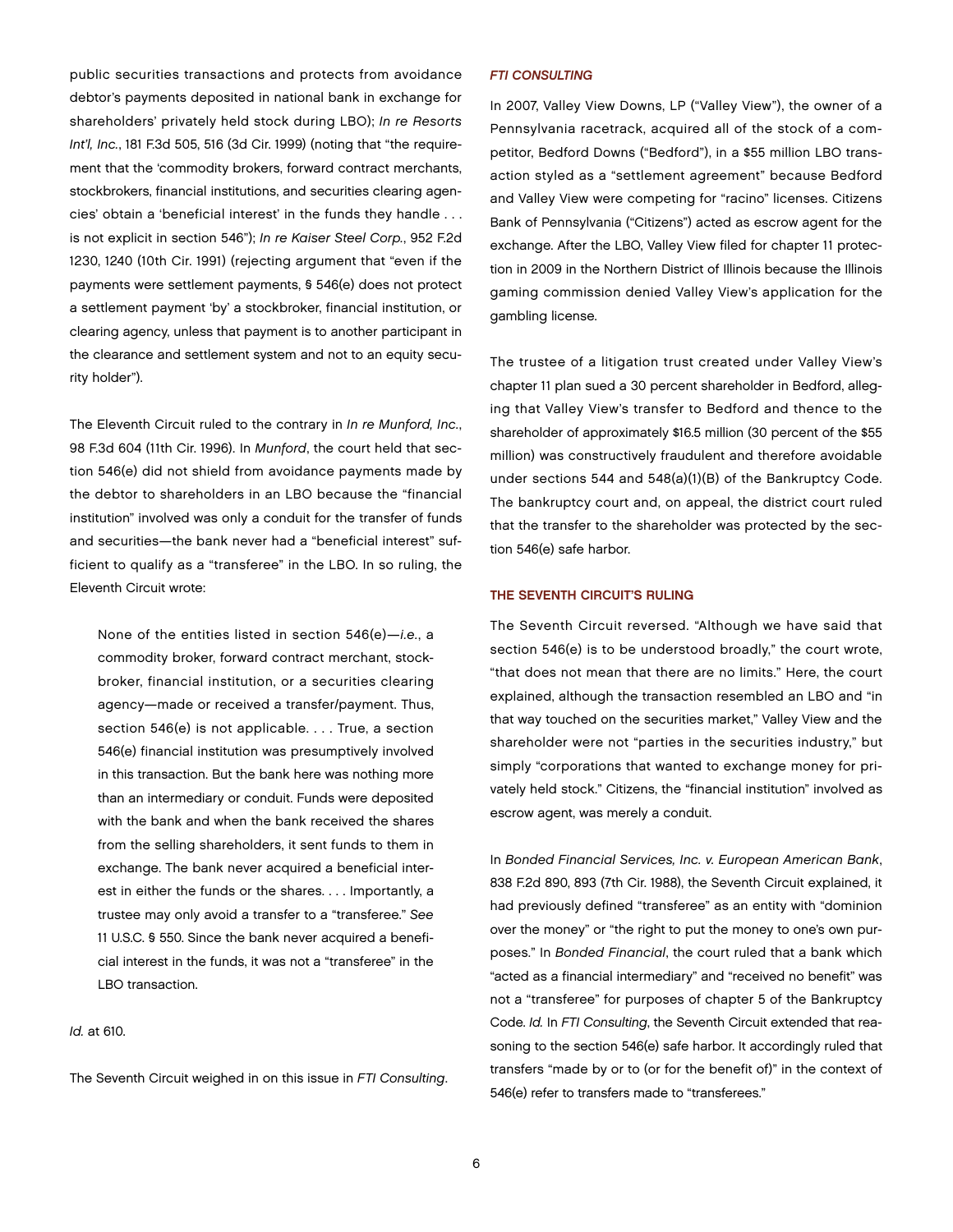public securities transactions and protects from avoidance debtor's payments deposited in national bank in exchange for shareholders' privately held stock during LBO); *In re Resorts Int'l, Inc.*, 181 F.3d 505, 516 (3d Cir. 1999) (noting that "the requirement that the 'commodity brokers, forward contract merchants, stockbrokers, financial institutions, and securities clearing agencies' obtain a 'beneficial interest' in the funds they handle . . . is not explicit in section 546"); *In re Kaiser Steel Corp.*, 952 F.2d 1230, 1240 (10th Cir. 1991) (rejecting argument that "even if the payments were settlement payments, § 546(e) does not protect a settlement payment 'by' a stockbroker, financial institution, or clearing agency, unless that payment is to another participant in the clearance and settlement system and not to an equity security holder").

The Eleventh Circuit ruled to the contrary in *In re Munford, Inc.*, 98 F.3d 604 (11th Cir. 1996). In *Munford*, the court held that section 546(e) did not shield from avoidance payments made by the debtor to shareholders in an LBO because the "financial institution" involved was only a conduit for the transfer of funds and securities—the bank never had a "beneficial interest" sufficient to qualify as a "transferee" in the LBO. In so ruling, the Eleventh Circuit wrote:

None of the entities listed in section 546(e)—*i.e.*, a commodity broker, forward contract merchant, stockbroker, financial institution, or a securities clearing agency—made or received a transfer/payment. Thus, section 546(e) is not applicable. . . . True, a section 546(e) financial institution was presumptively involved in this transaction. But the bank here was nothing more than an intermediary or conduit. Funds were deposited with the bank and when the bank received the shares from the selling shareholders, it sent funds to them in exchange. The bank never acquired a beneficial interest in either the funds or the shares. . . . Importantly, a trustee may only avoid a transfer to a "transferee." *See* 11 U.S.C. § 550. Since the bank never acquired a beneficial interest in the funds, it was not a "transferee" in the LBO transaction.

*Id.* at 610.

The Seventh Circuit weighed in on this issue in *FTI Consulting*.

#### *FTI CONSULTING*

In 2007, Valley View Downs, LP ("Valley View"), the owner of a Pennsylvania racetrack, acquired all of the stock of a competitor, Bedford Downs ("Bedford"), in a \$55 million LBO transaction styled as a "settlement agreement" because Bedford and Valley View were competing for "racino" licenses. Citizens Bank of Pennsylvania ("Citizens") acted as escrow agent for the exchange. After the LBO, Valley View filed for chapter 11 protection in 2009 in the Northern District of Illinois because the Illinois gaming commission denied Valley View's application for the gambling license.

The trustee of a litigation trust created under Valley View's chapter 11 plan sued a 30 percent shareholder in Bedford, alleging that Valley View's transfer to Bedford and thence to the shareholder of approximately \$16.5 million (30 percent of the \$55 million) was constructively fraudulent and therefore avoidable under sections 544 and 548(a)(1)(B) of the Bankruptcy Code. The bankruptcy court and, on appeal, the district court ruled that the transfer to the shareholder was protected by the section 546(e) safe harbor.

#### THE SEVENTH CIRCUIT'S RULING

The Seventh Circuit reversed. "Although we have said that section 546(e) is to be understood broadly," the court wrote, "that does not mean that there are no limits." Here, the court explained, although the transaction resembled an LBO and "in that way touched on the securities market," Valley View and the shareholder were not "parties in the securities industry," but simply "corporations that wanted to exchange money for privately held stock." Citizens, the "financial institution" involved as escrow agent, was merely a conduit.

In *Bonded Financial Services, Inc. v. European American Bank*, 838 F.2d 890, 893 (7th Cir. 1988), the Seventh Circuit explained, it had previously defined "transferee" as an entity with "dominion over the money" or "the right to put the money to one's own purposes." In *Bonded Financial*, the court ruled that a bank which "acted as a financial intermediary" and "received no benefit" was not a "transferee" for purposes of chapter 5 of the Bankruptcy Code. *Id.* In *FTI Consulting*, the Seventh Circuit extended that reasoning to the section 546(e) safe harbor. It accordingly ruled that transfers "made by or to (or for the benefit of)" in the context of 546(e) refer to transfers made to "transferees."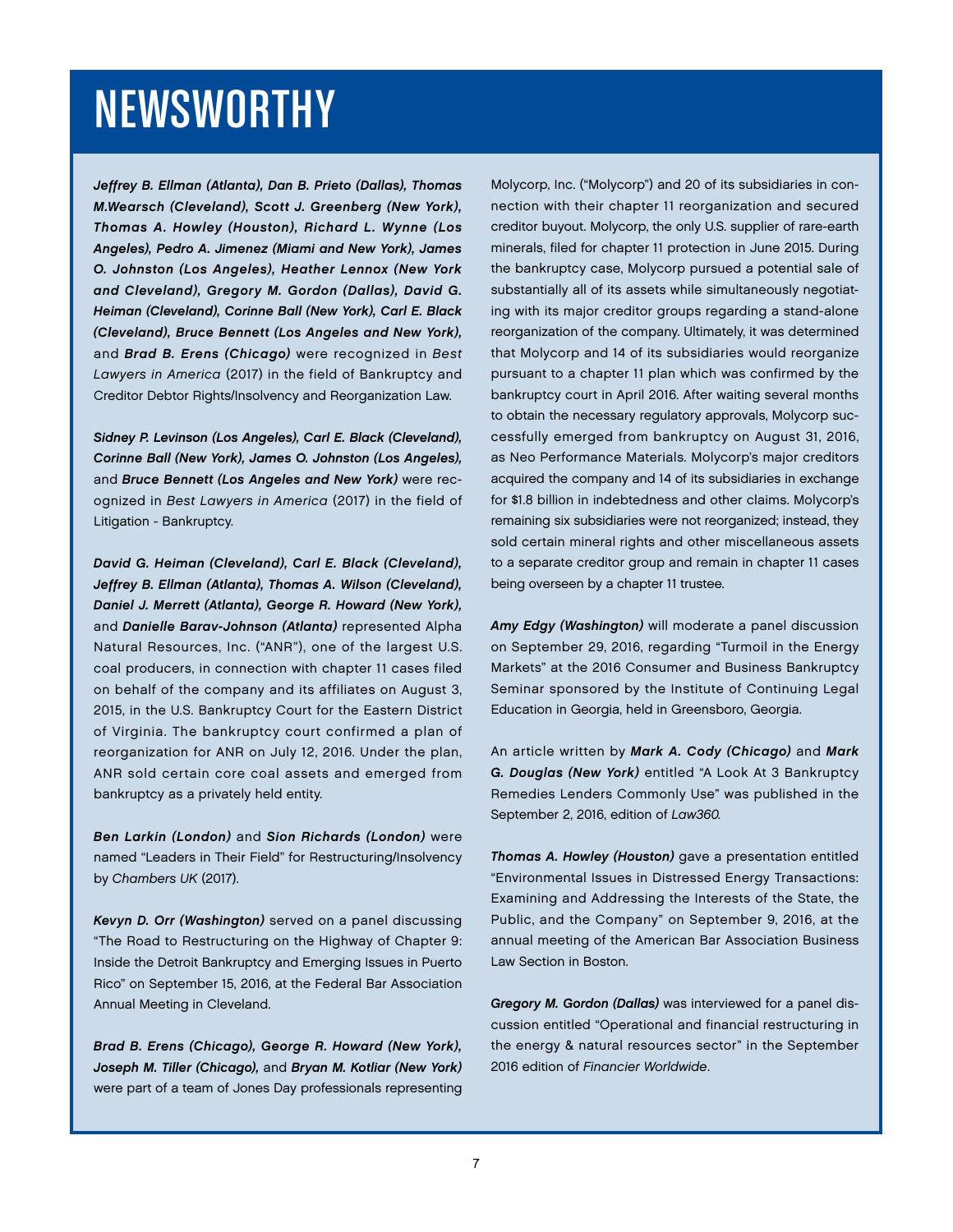# NEWSWORTHY

*Jeffrey B. Ellman (Atlanta), Dan B. Prieto (Dallas), Thomas M.Wearsch (Cleveland), Scott J. Greenberg (New York), Thomas A. Howley (Houston), Richard L. Wynne (Los Angeles), Pedro A. Jimenez (Miami and New York), James O. Johnston (Los Angeles), Heather Lennox (New York and Cleveland), Gregory M. Gordon (Dallas), David G. Heiman (Cleveland), Corinne Ball (New York), Carl E. Black (Cleveland), Bruce Bennett (Los Angeles and New York),*  and *Brad B. Erens (Chicago)* were recognized in *Best Lawyers in America* (2017) in the field of Bankruptcy and Creditor Debtor Rights/Insolvency and Reorganization Law.

*Sidney P. Levinson (Los Angeles), Carl E. Black (Cleveland), Corinne Ball (New York), James O. Johnston (Los Angeles),*  and *Bruce Bennett (Los Angeles and New York)* were recognized in *Best Lawyers in America* (2017) in the field of Litigation - Bankruptcy.

*David G. Heiman (Cleveland), Carl E. Black (Cleveland), Jeffrey B. Ellman (Atlanta), Thomas A. Wilson (Cleveland), Daniel J. Merrett (Atlanta), George R. Howard (New York),*  and *Danielle Barav-Johnson (Atlanta)* represented Alpha Natural Resources, Inc. ("ANR"), one of the largest U.S. coal producers, in connection with chapter 11 cases filed on behalf of the company and its affiliates on August 3, 2015, in the U.S. Bankruptcy Court for the Eastern District of Virginia. The bankruptcy court confirmed a plan of reorganization for ANR on July 12, 2016. Under the plan, ANR sold certain core coal assets and emerged from bankruptcy as a privately held entity.

*Ben Larkin (London)* and *Sion Richards (London)* were named "Leaders in Their Field" for Restructuring/Insolvency by *Chambers UK* (2017).

*Kevyn D. Orr (Washington)* served on a panel discussing "The Road to Restructuring on the Highway of Chapter 9: Inside the Detroit Bankruptcy and Emerging Issues in Puerto Rico" on September 15, 2016, at the Federal Bar Association Annual Meeting in Cleveland.

*Brad B. Erens (Chicago), George R. Howard (New York), Joseph M. Tiller (Chicago),* and *Bryan M. Kotliar (New York)*  were part of a team of Jones Day professionals representing

Molycorp, Inc. ("Molycorp") and 20 of its subsidiaries in connection with their chapter 11 reorganization and secured creditor buyout. Molycorp, the only U.S. supplier of rare-earth minerals, filed for chapter 11 protection in June 2015. During the bankruptcy case, Molycorp pursued a potential sale of substantially all of its assets while simultaneously negotiating with its major creditor groups regarding a stand-alone reorganization of the company. Ultimately, it was determined that Molycorp and 14 of its subsidiaries would reorganize pursuant to a chapter 11 plan which was confirmed by the bankruptcy court in April 2016. After waiting several months to obtain the necessary regulatory approvals, Molycorp successfully emerged from bankruptcy on August 31, 2016, as Neo Performance Materials. Molycorp's major creditors acquired the company and 14 of its subsidiaries in exchange for \$1.8 billion in indebtedness and other claims. Molycorp's remaining six subsidiaries were not reorganized; instead, they sold certain mineral rights and other miscellaneous assets to a separate creditor group and remain in chapter 11 cases being overseen by a chapter 11 trustee.

*Amy Edgy (Washington)* will moderate a panel discussion on September 29, 2016, regarding "Turmoil in the Energy Markets" at the 2016 Consumer and Business Bankruptcy Seminar sponsored by the Institute of Continuing Legal Education in Georgia, held in Greensboro, Georgia.

An article written by *Mark A. Cody (Chicago)* and *Mark G. Douglas (New York)* entitled "A Look At 3 Bankruptcy Remedies Lenders Commonly Use" was published in the September 2, 2016, edition of *Law360.*

*Thomas A. Howley (Houston)* gave a presentation entitled "Environmental Issues in Distressed Energy Transactions: Examining and Addressing the Interests of the State, the Public, and the Company" on September 9, 2016, at the annual meeting of the American Bar Association Business Law Section in Boston.

*Gregory M. Gordon (Dallas)* was interviewed for a panel discussion entitled "Operational and financial restructuring in the energy & natural resources sector" in the September 2016 edition of *Financier Worldwide*.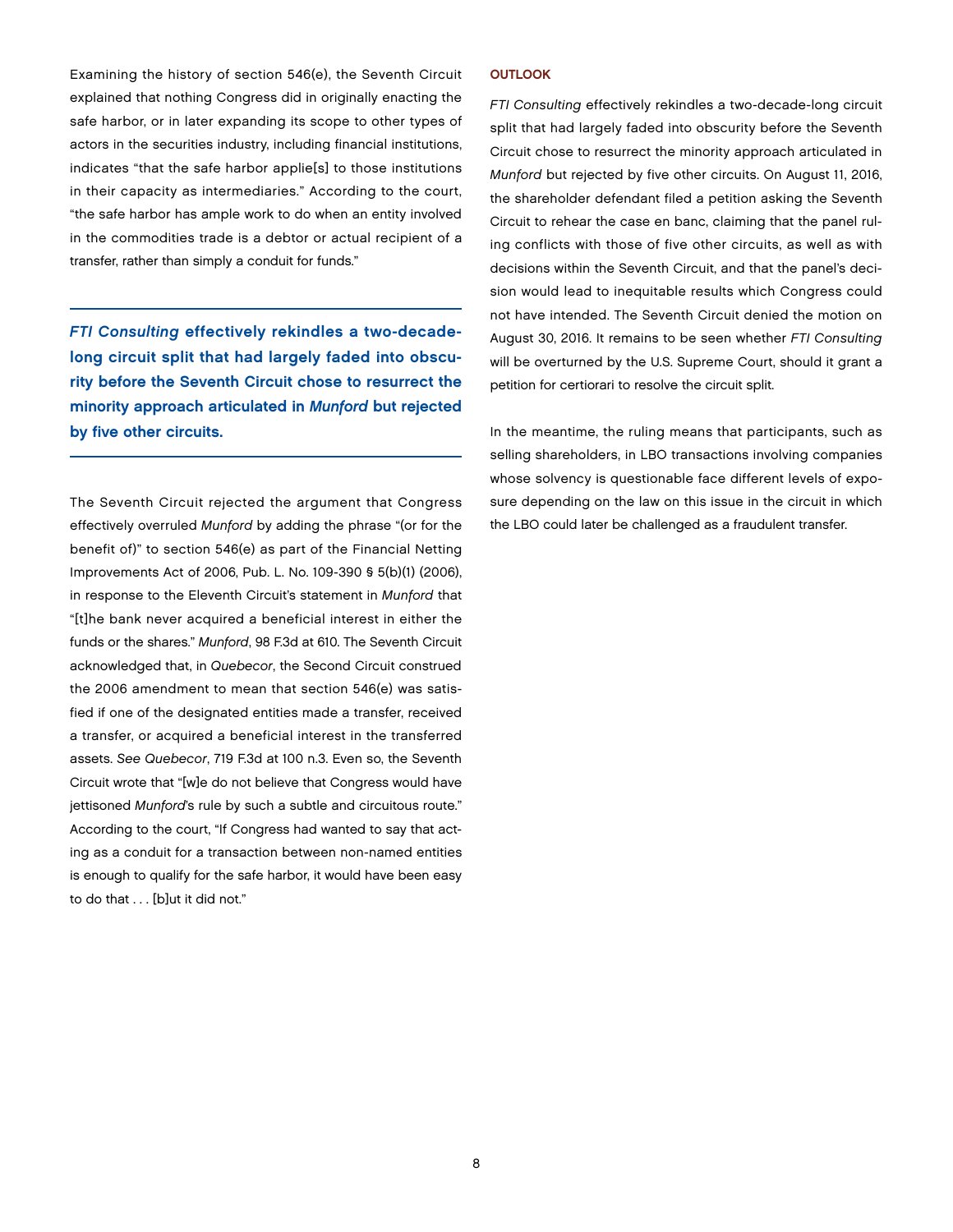Examining the history of section 546(e), the Seventh Circuit explained that nothing Congress did in originally enacting the safe harbor, or in later expanding its scope to other types of actors in the securities industry, including financial institutions, indicates "that the safe harbor applie[s] to those institutions in their capacity as intermediaries." According to the court, "the safe harbor has ample work to do when an entity involved in the commodities trade is a debtor or actual recipient of a transfer, rather than simply a conduit for funds."

*FTI Consulting* effectively rekindles a two-decadelong circuit split that had largely faded into obscurity before the Seventh Circuit chose to resurrect the minority approach articulated in *Munford* but rejected by five other circuits.

The Seventh Circuit rejected the argument that Congress effectively overruled *Munford* by adding the phrase "(or for the benefit of)" to section 546(e) as part of the Financial Netting Improvements Act of 2006, Pub. L. No. 109-390 § 5(b)(1) (2006), in response to the Eleventh Circuit's statement in *Munford* that "[t]he bank never acquired a beneficial interest in either the funds or the shares." *Munford*, 98 F.3d at 610. The Seventh Circuit acknowledged that, in *Quebecor*, the Second Circuit construed the 2006 amendment to mean that section 546(e) was satisfied if one of the designated entities made a transfer, received a transfer, or acquired a beneficial interest in the transferred assets. *See Quebecor*, 719 F.3d at 100 n.3. Even so, the Seventh Circuit wrote that "[w]e do not believe that Congress would have jettisoned *Munford*'s rule by such a subtle and circuitous route." According to the court, "If Congress had wanted to say that acting as a conduit for a transaction between non-named entities is enough to qualify for the safe harbor, it would have been easy to do that . . . [b]ut it did not."

#### **OUTLOOK**

*FTI Consulting* effectively rekindles a two-decade-long circuit split that had largely faded into obscurity before the Seventh Circuit chose to resurrect the minority approach articulated in *Munford* but rejected by five other circuits. On August 11, 2016, the shareholder defendant filed a petition asking the Seventh Circuit to rehear the case en banc, claiming that the panel ruling conflicts with those of five other circuits, as well as with decisions within the Seventh Circuit, and that the panel's decision would lead to inequitable results which Congress could not have intended. The Seventh Circuit denied the motion on August 30, 2016. It remains to be seen whether *FTI Consulting* will be overturned by the U.S. Supreme Court, should it grant a petition for certiorari to resolve the circuit split.

In the meantime, the ruling means that participants, such as selling shareholders, in LBO transactions involving companies whose solvency is questionable face different levels of exposure depending on the law on this issue in the circuit in which the LBO could later be challenged as a fraudulent transfer.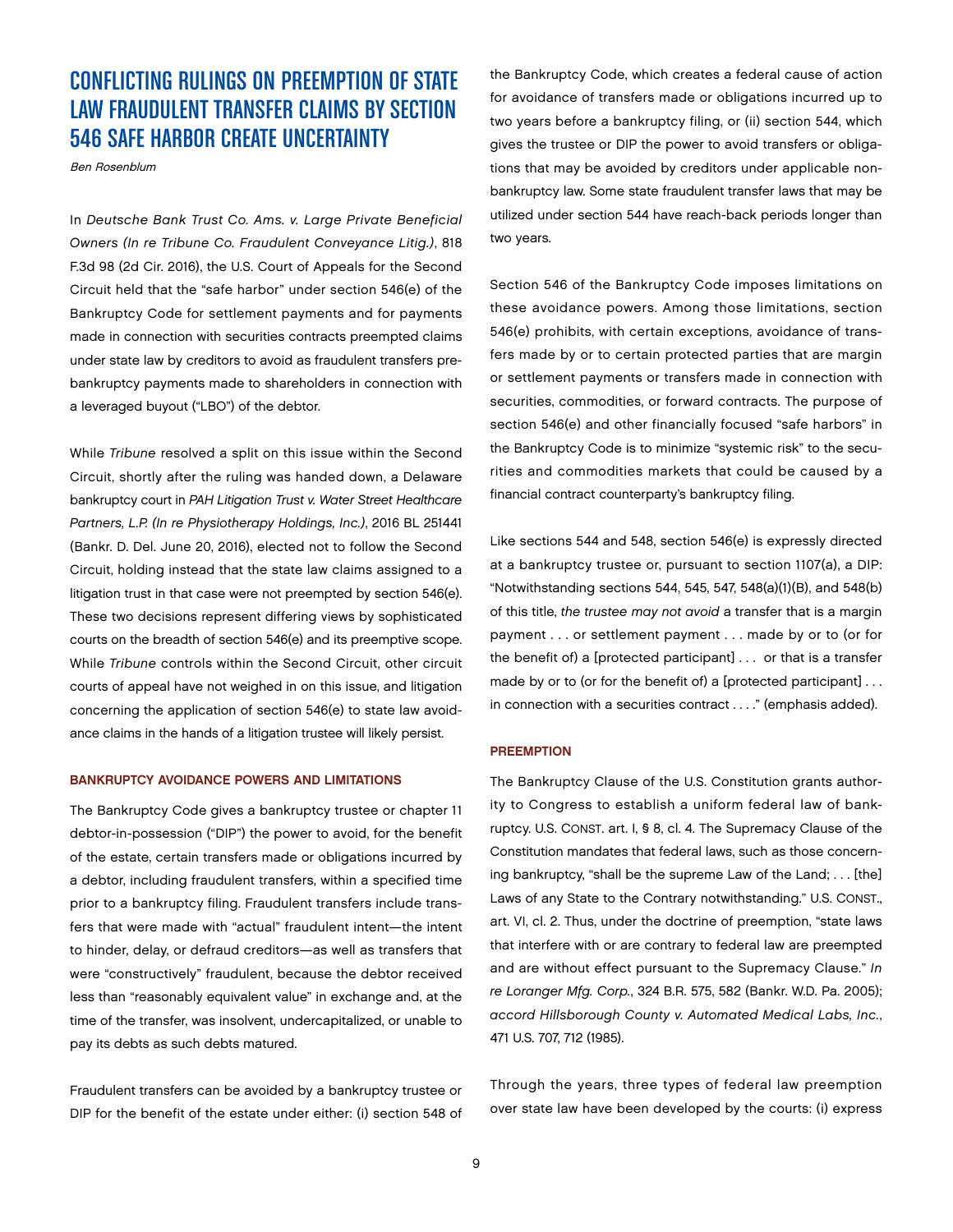## CONFLICTING RULINGS ON PREEMPTION OF STATE LAW FRAUDULENT TRANSFER CLAIMS BY SECTION 546 SAFE HARBOR CREATE UNCERTAINTY

Ben Rosenblum

In *Deutsche Bank Trust Co. Ams. v. Large Private Beneficial Owners (In re Tribune Co. Fraudulent Conveyance Litig.)*, 818 F.3d 98 (2d Cir. 2016), the U.S. Court of Appeals for the Second Circuit held that the "safe harbor" under section 546(e) of the Bankruptcy Code for settlement payments and for payments made in connection with securities contracts preempted claims under state law by creditors to avoid as fraudulent transfers prebankruptcy payments made to shareholders in connection with a leveraged buyout ("LBO") of the debtor.

While *Tribune* resolved a split on this issue within the Second Circuit, shortly after the ruling was handed down, a Delaware bankruptcy court in *PAH Litigation Trust v. Water Street Healthcare Partners, L.P. (In re Physiotherapy Holdings, Inc.)*, 2016 BL 251441 (Bankr. D. Del. June 20, 2016), elected not to follow the Second Circuit, holding instead that the state law claims assigned to a litigation trust in that case were not preempted by section 546(e). These two decisions represent differing views by sophisticated courts on the breadth of section 546(e) and its preemptive scope. While *Tribune* controls within the Second Circuit, other circuit courts of appeal have not weighed in on this issue, and litigation concerning the application of section 546(e) to state law avoidance claims in the hands of a litigation trustee will likely persist.

#### BANKRUPTCY AVOIDANCE POWERS AND LIMITATIONS

The Bankruptcy Code gives a bankruptcy trustee or chapter 11 debtor-in-possession ("DIP") the power to avoid, for the benefit of the estate, certain transfers made or obligations incurred by a debtor, including fraudulent transfers, within a specified time prior to a bankruptcy filing. Fraudulent transfers include transfers that were made with "actual" fraudulent intent—the intent to hinder, delay, or defraud creditors—as well as transfers that were "constructively" fraudulent, because the debtor received less than "reasonably equivalent value" in exchange and, at the time of the transfer, was insolvent, undercapitalized, or unable to pay its debts as such debts matured.

Fraudulent transfers can be avoided by a bankruptcy trustee or DIP for the benefit of the estate under either: (i) section 548 of the Bankruptcy Code, which creates a federal cause of action for avoidance of transfers made or obligations incurred up to two years before a bankruptcy filing, or (ii) section 544, which gives the trustee or DIP the power to avoid transfers or obligations that may be avoided by creditors under applicable nonbankruptcy law. Some state fraudulent transfer laws that may be utilized under section 544 have reach-back periods longer than two years.

Section 546 of the Bankruptcy Code imposes limitations on these avoidance powers. Among those limitations, section 546(e) prohibits, with certain exceptions, avoidance of transfers made by or to certain protected parties that are margin or settlement payments or transfers made in connection with securities, commodities, or forward contracts. The purpose of section 546(e) and other financially focused "safe harbors" in the Bankruptcy Code is to minimize "systemic risk" to the securities and commodities markets that could be caused by a financial contract counterparty's bankruptcy filing.

Like sections 544 and 548, section 546(e) is expressly directed at a bankruptcy trustee or, pursuant to section 1107(a), a DIP: "Notwithstanding sections 544, 545, 547, 548(a)(1)(B), and 548(b) of this title, *the trustee may not avoid* a transfer that is a margin payment . . . or settlement payment . . . made by or to (or for the benefit of) a [protected participant] . . . or that is a transfer made by or to (or for the benefit of) a [protected participant] . . . in connection with a securities contract . . . ." (emphasis added).

#### **PREEMPTION**

The Bankruptcy Clause of the U.S. Constitution grants authority to Congress to establish a uniform federal law of bankruptcy. U.S. CONST. art. I, § 8, cl. 4. The Supremacy Clause of the Constitution mandates that federal laws, such as those concerning bankruptcy, "shall be the supreme Law of the Land; . . . [the] Laws of any State to the Contrary notwithstanding." U.S. CONST., art. VI, cl. 2. Thus, under the doctrine of preemption, "state laws that interfere with or are contrary to federal law are preempted and are without effect pursuant to the Supremacy Clause." *In re Loranger Mfg. Corp.*, 324 B.R. 575, 582 (Bankr. W.D. Pa. 2005); *accord Hillsborough County v. Automated Medical Labs, Inc.*, 471 U.S. 707, 712 (1985).

Through the years, three types of federal law preemption over state law have been developed by the courts: (i) express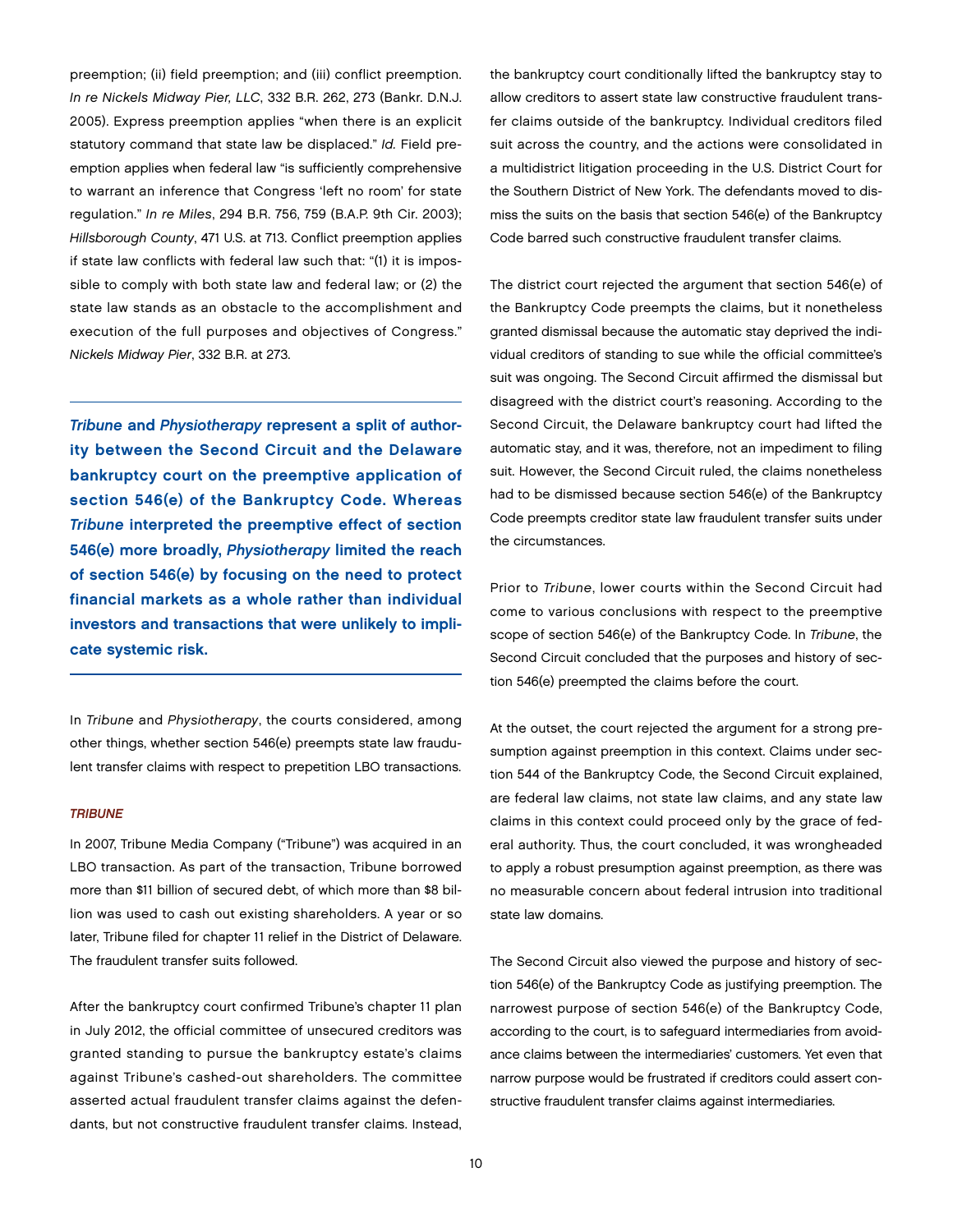preemption; (ii) field preemption; and (iii) conflict preemption. *In re Nickels Midway Pier, LLC*, 332 B.R. 262, 273 (Bankr. D.N.J. 2005). Express preemption applies "when there is an explicit statutory command that state law be displaced." *Id.* Field preemption applies when federal law "is sufficiently comprehensive to warrant an inference that Congress 'left no room' for state regulation." *In re Miles*, 294 B.R. 756, 759 (B.A.P. 9th Cir. 2003); *Hillsborough County*, 471 U.S. at 713. Conflict preemption applies if state law conflicts with federal law such that: "(1) it is impossible to comply with both state law and federal law; or (2) the state law stands as an obstacle to the accomplishment and execution of the full purposes and objectives of Congress." *Nickels Midway Pier*, 332 B.R. at 273.

*Tribune* and *Physiotherapy* represent a split of authority between the Second Circuit and the Delaware bankruptcy court on the preemptive application of section 546(e) of the Bankruptcy Code. Whereas *Tribune* interpreted the preemptive effect of section 546(e) more broadly, *Physiotherapy* limited the reach of section 546(e) by focusing on the need to protect financial markets as a whole rather than individual investors and transactions that were unlikely to implicate systemic risk.

In *Tribune* and *Physiotherapy*, the courts considered, among other things, whether section 546(e) preempts state law fraudulent transfer claims with respect to prepetition LBO transactions.

#### *TRIBUNE*

In 2007, Tribune Media Company ("Tribune") was acquired in an LBO transaction. As part of the transaction, Tribune borrowed more than \$11 billion of secured debt, of which more than \$8 billion was used to cash out existing shareholders. A year or so later, Tribune filed for chapter 11 relief in the District of Delaware. The fraudulent transfer suits followed.

After the bankruptcy court confirmed Tribune's chapter 11 plan in July 2012, the official committee of unsecured creditors was granted standing to pursue the bankruptcy estate's claims against Tribune's cashed-out shareholders. The committee asserted actual fraudulent transfer claims against the defendants, but not constructive fraudulent transfer claims. Instead,

the bankruptcy court conditionally lifted the bankruptcy stay to allow creditors to assert state law constructive fraudulent transfer claims outside of the bankruptcy. Individual creditors filed suit across the country, and the actions were consolidated in a multidistrict litigation proceeding in the U.S. District Court for the Southern District of New York. The defendants moved to dismiss the suits on the basis that section 546(e) of the Bankruptcy Code barred such constructive fraudulent transfer claims.

The district court rejected the argument that section 546(e) of the Bankruptcy Code preempts the claims, but it nonetheless granted dismissal because the automatic stay deprived the individual creditors of standing to sue while the official committee's suit was ongoing. The Second Circuit affirmed the dismissal but disagreed with the district court's reasoning. According to the Second Circuit, the Delaware bankruptcy court had lifted the automatic stay, and it was, therefore, not an impediment to filing suit. However, the Second Circuit ruled, the claims nonetheless had to be dismissed because section 546(e) of the Bankruptcy Code preempts creditor state law fraudulent transfer suits under the circumstances.

Prior to *Tribune*, lower courts within the Second Circuit had come to various conclusions with respect to the preemptive scope of section 546(e) of the Bankruptcy Code. In *Tribune*, the Second Circuit concluded that the purposes and history of section 546(e) preempted the claims before the court.

At the outset, the court rejected the argument for a strong presumption against preemption in this context. Claims under section 544 of the Bankruptcy Code, the Second Circuit explained, are federal law claims, not state law claims, and any state law claims in this context could proceed only by the grace of federal authority. Thus, the court concluded, it was wrongheaded to apply a robust presumption against preemption, as there was no measurable concern about federal intrusion into traditional state law domains.

The Second Circuit also viewed the purpose and history of section 546(e) of the Bankruptcy Code as justifying preemption. The narrowest purpose of section 546(e) of the Bankruptcy Code, according to the court, is to safeguard intermediaries from avoidance claims between the intermediaries' customers. Yet even that narrow purpose would be frustrated if creditors could assert constructive fraudulent transfer claims against intermediaries.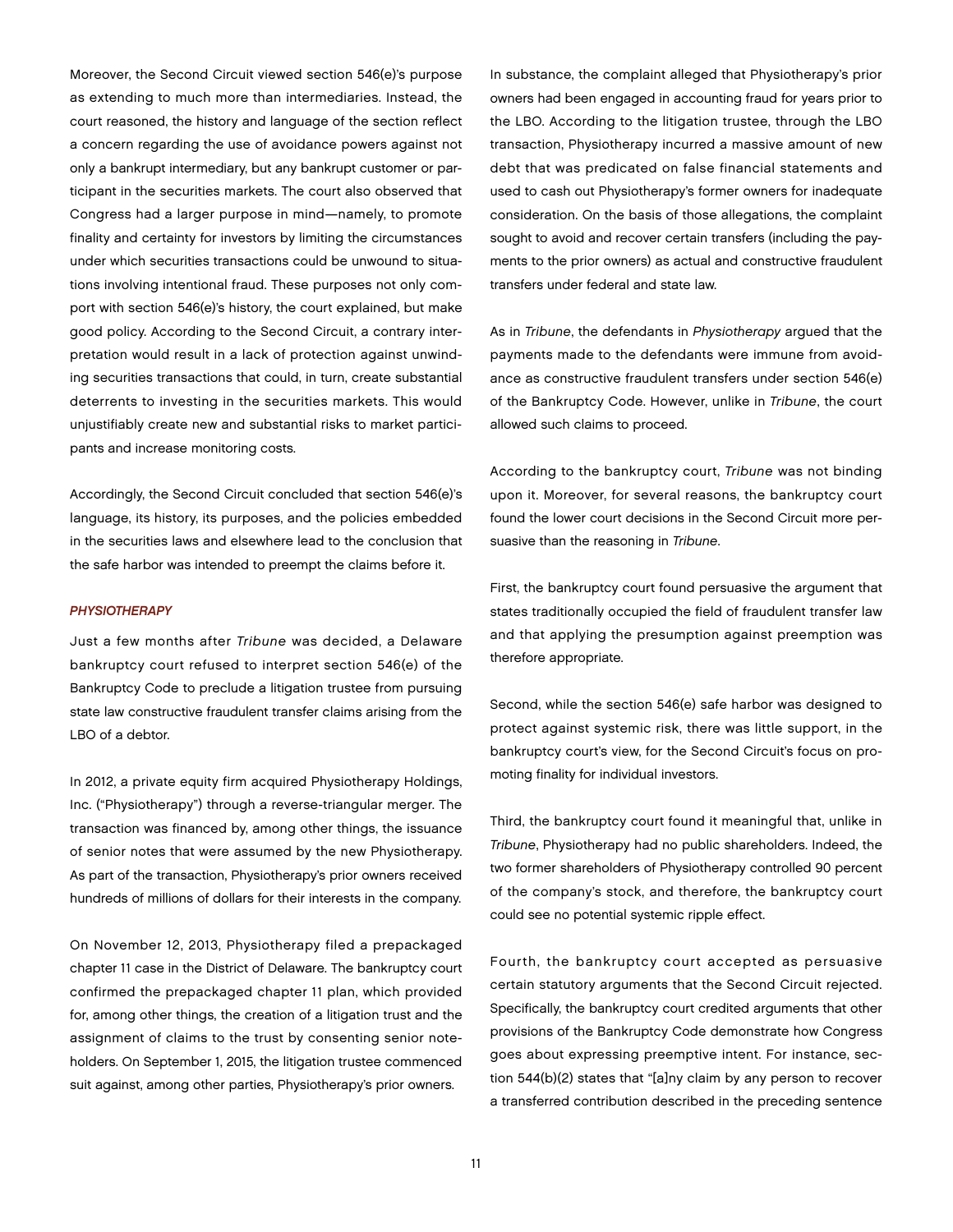Moreover, the Second Circuit viewed section 546(e)'s purpose as extending to much more than intermediaries. Instead, the court reasoned, the history and language of the section reflect a concern regarding the use of avoidance powers against not only a bankrupt intermediary, but any bankrupt customer or participant in the securities markets. The court also observed that Congress had a larger purpose in mind—namely, to promote finality and certainty for investors by limiting the circumstances under which securities transactions could be unwound to situations involving intentional fraud. These purposes not only comport with section 546(e)'s history, the court explained, but make good policy. According to the Second Circuit, a contrary interpretation would result in a lack of protection against unwinding securities transactions that could, in turn, create substantial deterrents to investing in the securities markets. This would unjustifiably create new and substantial risks to market participants and increase monitoring costs.

Accordingly, the Second Circuit concluded that section 546(e)'s language, its history, its purposes, and the policies embedded in the securities laws and elsewhere lead to the conclusion that the safe harbor was intended to preempt the claims before it.

#### *PHYSIOTHERAPY*

Just a few months after *Tribune* was decided, a Delaware bankruptcy court refused to interpret section 546(e) of the Bankruptcy Code to preclude a litigation trustee from pursuing state law constructive fraudulent transfer claims arising from the LBO of a debtor.

In 2012, a private equity firm acquired Physiotherapy Holdings, Inc. ("Physiotherapy") through a reverse-triangular merger. The transaction was financed by, among other things, the issuance of senior notes that were assumed by the new Physiotherapy. As part of the transaction, Physiotherapy's prior owners received hundreds of millions of dollars for their interests in the company.

On November 12, 2013, Physiotherapy filed a prepackaged chapter 11 case in the District of Delaware. The bankruptcy court confirmed the prepackaged chapter 11 plan, which provided for, among other things, the creation of a litigation trust and the assignment of claims to the trust by consenting senior noteholders. On September 1, 2015, the litigation trustee commenced suit against, among other parties, Physiotherapy's prior owners.

In substance, the complaint alleged that Physiotherapy's prior owners had been engaged in accounting fraud for years prior to the LBO. According to the litigation trustee, through the LBO transaction, Physiotherapy incurred a massive amount of new debt that was predicated on false financial statements and used to cash out Physiotherapy's former owners for inadequate consideration. On the basis of those allegations, the complaint sought to avoid and recover certain transfers (including the payments to the prior owners) as actual and constructive fraudulent transfers under federal and state law.

As in *Tribune*, the defendants in *Physiotherapy* argued that the payments made to the defendants were immune from avoidance as constructive fraudulent transfers under section 546(e) of the Bankruptcy Code. However, unlike in *Tribune*, the court allowed such claims to proceed.

According to the bankruptcy court, *Tribune* was not binding upon it. Moreover, for several reasons, the bankruptcy court found the lower court decisions in the Second Circuit more persuasive than the reasoning in *Tribune*.

First, the bankruptcy court found persuasive the argument that states traditionally occupied the field of fraudulent transfer law and that applying the presumption against preemption was therefore appropriate.

Second, while the section 546(e) safe harbor was designed to protect against systemic risk, there was little support, in the bankruptcy court's view, for the Second Circuit's focus on promoting finality for individual investors.

Third, the bankruptcy court found it meaningful that, unlike in *Tribune*, Physiotherapy had no public shareholders. Indeed, the two former shareholders of Physiotherapy controlled 90 percent of the company's stock, and therefore, the bankruptcy court could see no potential systemic ripple effect.

Fourth, the bankruptcy court accepted as persuasive certain statutory arguments that the Second Circuit rejected. Specifically, the bankruptcy court credited arguments that other provisions of the Bankruptcy Code demonstrate how Congress goes about expressing preemptive intent. For instance, section 544(b)(2) states that "[a]ny claim by any person to recover a transferred contribution described in the preceding sentence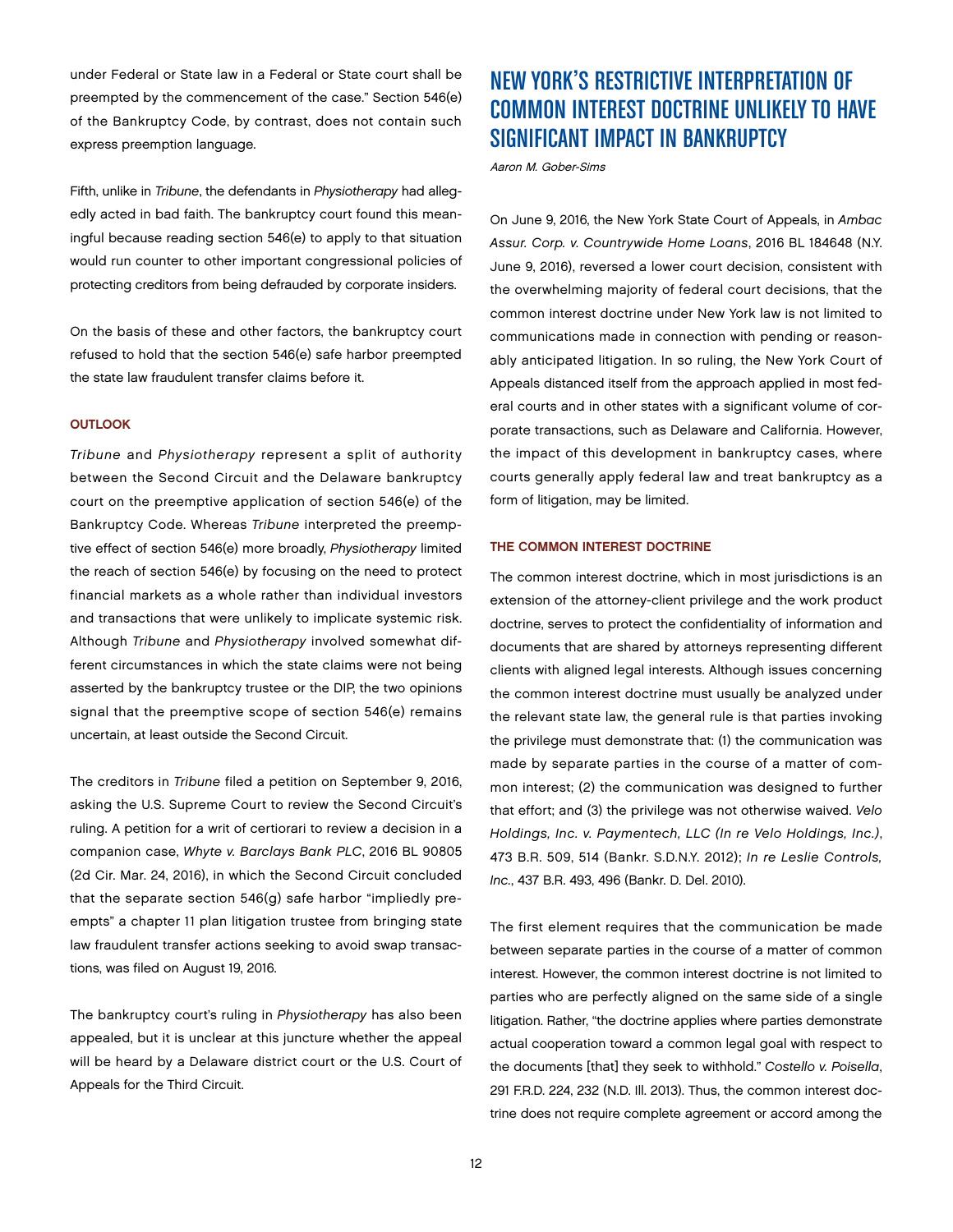under Federal or State law in a Federal or State court shall be preempted by the commencement of the case." Section 546(e) of the Bankruptcy Code, by contrast, does not contain such express preemption language.

Fifth, unlike in *Tribune*, the defendants in *Physiotherapy* had allegedly acted in bad faith. The bankruptcy court found this meaningful because reading section 546(e) to apply to that situation would run counter to other important congressional policies of protecting creditors from being defrauded by corporate insiders.

On the basis of these and other factors, the bankruptcy court refused to hold that the section 546(e) safe harbor preempted the state law fraudulent transfer claims before it.

#### **OUTLOOK**

*Tribune* and *Physiotherapy* represent a split of authority between the Second Circuit and the Delaware bankruptcy court on the preemptive application of section 546(e) of the Bankruptcy Code. Whereas *Tribune* interpreted the preemptive effect of section 546(e) more broadly, *Physiotherapy* limited the reach of section 546(e) by focusing on the need to protect financial markets as a whole rather than individual investors and transactions that were unlikely to implicate systemic risk. Although *Tribune* and *Physiotherapy* involved somewhat different circumstances in which the state claims were not being asserted by the bankruptcy trustee or the DIP, the two opinions signal that the preemptive scope of section 546(e) remains uncertain, at least outside the Second Circuit.

The creditors in *Tribune* filed a petition on September 9, 2016, asking the U.S. Supreme Court to review the Second Circuit's ruling. A petition for a writ of certiorari to review a decision in a companion case, *Whyte v. Barclays Bank PLC*, 2016 BL 90805 (2d Cir. Mar. 24, 2016), in which the Second Circuit concluded that the separate section 546(g) safe harbor "impliedly preempts" a chapter 11 plan litigation trustee from bringing state law fraudulent transfer actions seeking to avoid swap transactions, was filed on August 19, 2016.

The bankruptcy court's ruling in *Physiotherapy* has also been appealed, but it is unclear at this juncture whether the appeal will be heard by a Delaware district court or the U.S. Court of Appeals for the Third Circuit.

## NEW YORK'S RESTRICTIVE INTERPRETATION OF COMMON INTEREST DOCTRINE UNLIKELY TO HAVE SIGNIFICANT IMPACT IN BANKRUPTCY

Aaron M. Gober-Sims

On June 9, 2016, the New York State Court of Appeals, in *Ambac Assur. Corp. v. Countrywide Home Loans*, 2016 BL 184648 (N.Y. June 9, 2016), reversed a lower court decision, consistent with the overwhelming majority of federal court decisions, that the common interest doctrine under New York law is not limited to communications made in connection with pending or reasonably anticipated litigation. In so ruling, the New York Court of Appeals distanced itself from the approach applied in most federal courts and in other states with a significant volume of corporate transactions, such as Delaware and California. However, the impact of this development in bankruptcy cases, where courts generally apply federal law and treat bankruptcy as a form of litigation, may be limited.

#### THE COMMON INTEREST DOCTRINE

The common interest doctrine, which in most jurisdictions is an extension of the attorney-client privilege and the work product doctrine, serves to protect the confidentiality of information and documents that are shared by attorneys representing different clients with aligned legal interests. Although issues concerning the common interest doctrine must usually be analyzed under the relevant state law, the general rule is that parties invoking the privilege must demonstrate that: (1) the communication was made by separate parties in the course of a matter of common interest; (2) the communication was designed to further that effort; and (3) the privilege was not otherwise waived. *Velo Holdings, Inc. v. Paymentech, LLC (In re Velo Holdings, Inc.)*, 473 B.R. 509, 514 (Bankr. S.D.N.Y. 2012); *In re Leslie Controls, Inc.*, 437 B.R. 493, 496 (Bankr. D. Del. 2010).

The first element requires that the communication be made between separate parties in the course of a matter of common interest. However, the common interest doctrine is not limited to parties who are perfectly aligned on the same side of a single litigation. Rather, "the doctrine applies where parties demonstrate actual cooperation toward a common legal goal with respect to the documents [that] they seek to withhold." *Costello v. Poisella*, 291 F.R.D. 224, 232 (N.D. Ill. 2013). Thus, the common interest doctrine does not require complete agreement or accord among the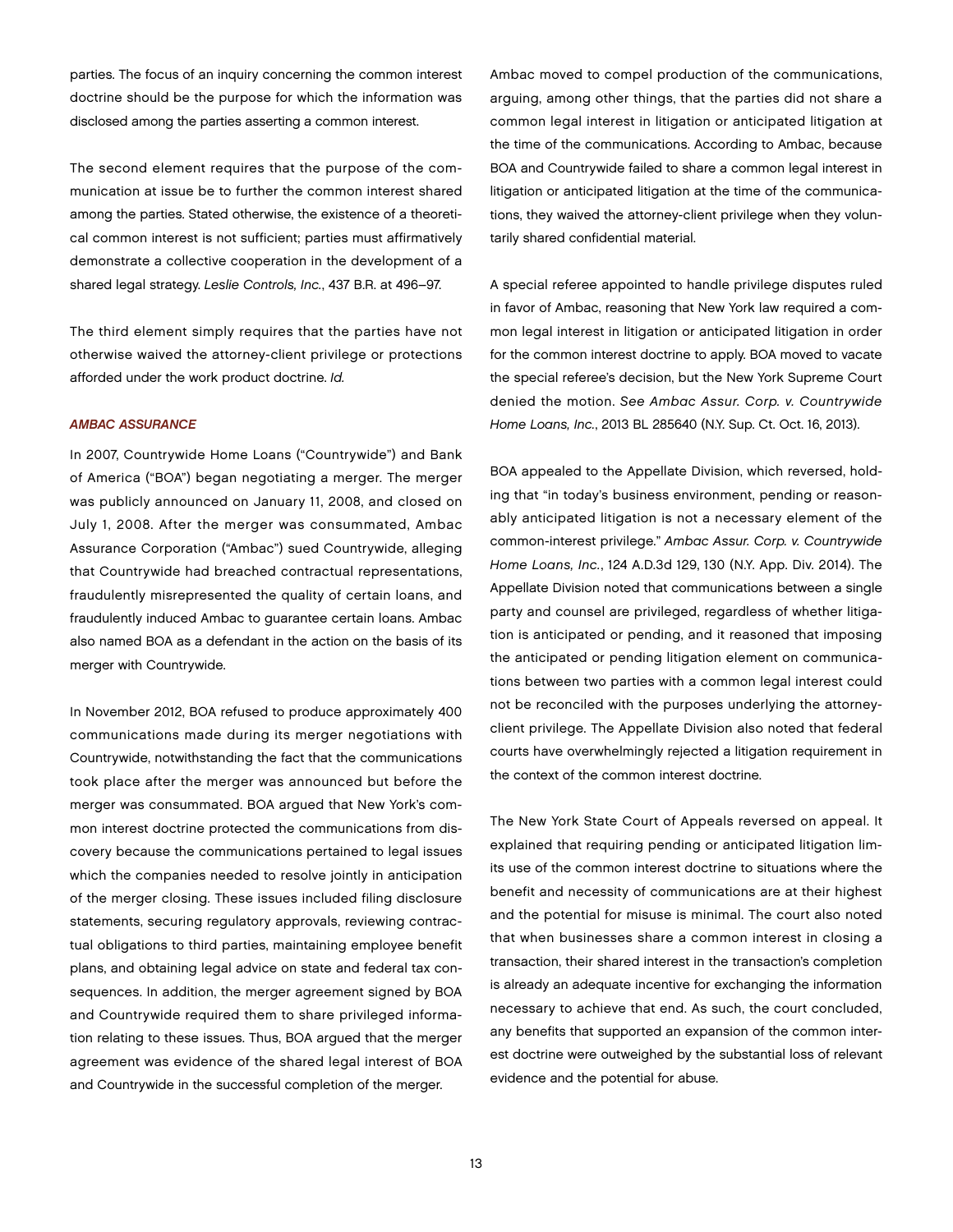parties. The focus of an inquiry concerning the common interest doctrine should be the purpose for which the information was disclosed among the parties asserting a common interest.

The second element requires that the purpose of the communication at issue be to further the common interest shared among the parties. Stated otherwise, the existence of a theoretical common interest is not sufficient; parties must affirmatively demonstrate a collective cooperation in the development of a shared legal strategy. *Leslie Controls, Inc.*, 437 B.R. at 496–97.

The third element simply requires that the parties have not otherwise waived the attorney-client privilege or protections afforded under the work product doctrine. *Id.*

#### *AMBAC ASSURANCE*

In 2007, Countrywide Home Loans ("Countrywide") and Bank of America ("BOA") began negotiating a merger. The merger was publicly announced on January 11, 2008, and closed on July 1, 2008. After the merger was consummated, Ambac Assurance Corporation ("Ambac") sued Countrywide, alleging that Countrywide had breached contractual representations, fraudulently misrepresented the quality of certain loans, and fraudulently induced Ambac to guarantee certain loans. Ambac also named BOA as a defendant in the action on the basis of its merger with Countrywide.

In November 2012, BOA refused to produce approximately 400 communications made during its merger negotiations with Countrywide, notwithstanding the fact that the communications took place after the merger was announced but before the merger was consummated. BOA argued that New York's common interest doctrine protected the communications from discovery because the communications pertained to legal issues which the companies needed to resolve jointly in anticipation of the merger closing. These issues included filing disclosure statements, securing regulatory approvals, reviewing contractual obligations to third parties, maintaining employee benefit plans, and obtaining legal advice on state and federal tax consequences. In addition, the merger agreement signed by BOA and Countrywide required them to share privileged information relating to these issues. Thus, BOA argued that the merger agreement was evidence of the shared legal interest of BOA and Countrywide in the successful completion of the merger.

Ambac moved to compel production of the communications, arguing, among other things, that the parties did not share a common legal interest in litigation or anticipated litigation at the time of the communications. According to Ambac, because BOA and Countrywide failed to share a common legal interest in litigation or anticipated litigation at the time of the communications, they waived the attorney-client privilege when they voluntarily shared confidential material.

A special referee appointed to handle privilege disputes ruled in favor of Ambac, reasoning that New York law required a common legal interest in litigation or anticipated litigation in order for the common interest doctrine to apply. BOA moved to vacate the special referee's decision, but the New York Supreme Court denied the motion. *See Ambac Assur. Corp. v. Countrywide Home Loans, Inc.*, 2013 BL 285640 (N.Y. Sup. Ct. Oct. 16, 2013).

BOA appealed to the Appellate Division, which reversed, holding that "in today's business environment, pending or reasonably anticipated litigation is not a necessary element of the common-interest privilege." *Ambac Assur. Corp. v. Countrywide Home Loans, Inc.*, 124 A.D.3d 129, 130 (N.Y. App. Div. 2014). The Appellate Division noted that communications between a single party and counsel are privileged, regardless of whether litigation is anticipated or pending, and it reasoned that imposing the anticipated or pending litigation element on communications between two parties with a common legal interest could not be reconciled with the purposes underlying the attorneyclient privilege. The Appellate Division also noted that federal courts have overwhelmingly rejected a litigation requirement in the context of the common interest doctrine.

The New York State Court of Appeals reversed on appeal. It explained that requiring pending or anticipated litigation limits use of the common interest doctrine to situations where the benefit and necessity of communications are at their highest and the potential for misuse is minimal. The court also noted that when businesses share a common interest in closing a transaction, their shared interest in the transaction's completion is already an adequate incentive for exchanging the information necessary to achieve that end. As such, the court concluded, any benefits that supported an expansion of the common interest doctrine were outweighed by the substantial loss of relevant evidence and the potential for abuse.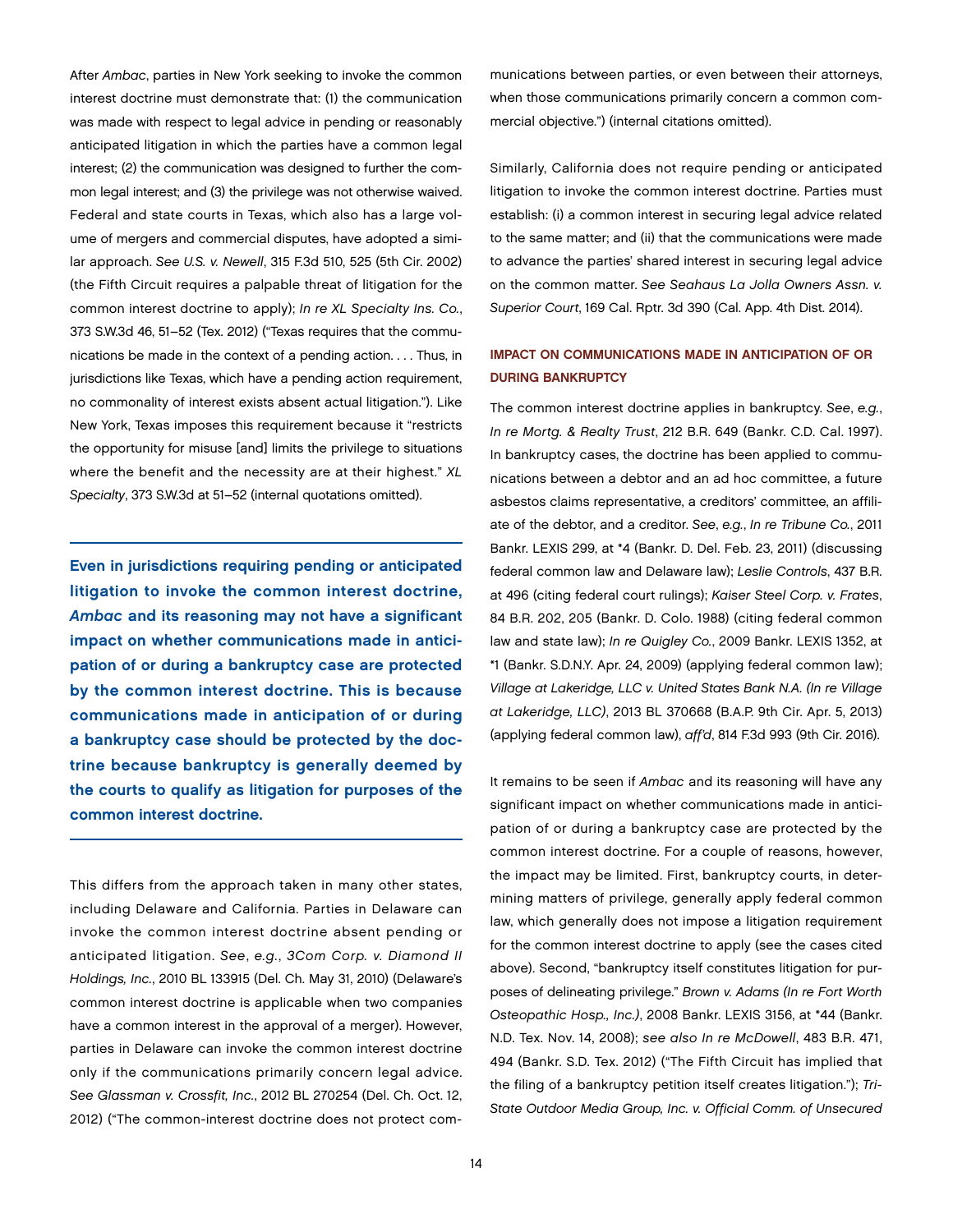After *Ambac*, parties in New York seeking to invoke the common interest doctrine must demonstrate that: (1) the communication was made with respect to legal advice in pending or reasonably anticipated litigation in which the parties have a common legal interest; (2) the communication was designed to further the common legal interest; and (3) the privilege was not otherwise waived. Federal and state courts in Texas, which also has a large volume of mergers and commercial disputes, have adopted a similar approach. *See U.S. v. Newell*, 315 F.3d 510, 525 (5th Cir. 2002) (the Fifth Circuit requires a palpable threat of litigation for the common interest doctrine to apply); *In re XL Specialty Ins. Co.*, 373 S.W.3d 46, 51–52 (Tex. 2012) ("Texas requires that the communications be made in the context of a pending action. . . . Thus, in jurisdictions like Texas, which have a pending action requirement, no commonality of interest exists absent actual litigation."). Like New York, Texas imposes this requirement because it "restricts the opportunity for misuse [and] limits the privilege to situations where the benefit and the necessity are at their highest." *XL Specialty*, 373 S.W.3d at 51–52 (internal quotations omitted).

Even in jurisdictions requiring pending or anticipated litigation to invoke the common interest doctrine, *Ambac* and its reasoning may not have a significant impact on whether communications made in anticipation of or during a bankruptcy case are protected by the common interest doctrine. This is because communications made in anticipation of or during a bankruptcy case should be protected by the doctrine because bankruptcy is generally deemed by the courts to qualify as litigation for purposes of the common interest doctrine.

This differs from the approach taken in many other states, including Delaware and California. Parties in Delaware can invoke the common interest doctrine absent pending or anticipated litigation. *See*, *e.g.*, *3Com Corp. v. Diamond II Holdings, Inc.*, 2010 BL 133915 (Del. Ch. May 31, 2010) (Delaware's common interest doctrine is applicable when two companies have a common interest in the approval of a merger). However, parties in Delaware can invoke the common interest doctrine only if the communications primarily concern legal advice. *See Glassman v. Crossfit, Inc.*, 2012 BL 270254 (Del. Ch. Oct. 12, 2012) ("The common-interest doctrine does not protect communications between parties, or even between their attorneys, when those communications primarily concern a common commercial objective.") (internal citations omitted).

Similarly, California does not require pending or anticipated litigation to invoke the common interest doctrine. Parties must establish: (i) a common interest in securing legal advice related to the same matter; and (ii) that the communications were made to advance the parties' shared interest in securing legal advice on the common matter. *See Seahaus La Jolla Owners Assn. v. Superior Court*, 169 Cal. Rptr. 3d 390 (Cal. App. 4th Dist. 2014).

#### IMPACT ON COMMUNICATIONS MADE IN ANTICIPATION OF OR DURING BANKRUPTCY

The common interest doctrine applies in bankruptcy. *See*, *e.g.*, *In re Mortg. & Realty Trust*, 212 B.R. 649 (Bankr. C.D. Cal. 1997). In bankruptcy cases, the doctrine has been applied to communications between a debtor and an ad hoc committee, a future asbestos claims representative, a creditors' committee, an affiliate of the debtor, and a creditor. *See*, *e.g.*, *In re Tribune Co.*, 2011 Bankr. LEXIS 299, at \*4 (Bankr. D. Del. Feb. 23, 2011) (discussing federal common law and Delaware law); *Leslie Controls*, 437 B.R. at 496 (citing federal court rulings); *Kaiser Steel Corp. v. Frates*, 84 B.R. 202, 205 (Bankr. D. Colo. 1988) (citing federal common law and state law); *In re Quigley Co.*, 2009 Bankr. LEXIS 1352, at \*1 (Bankr. S.D.N.Y. Apr. 24, 2009) (applying federal common law); *Village at Lakeridge, LLC v. United States Bank N.A. (In re Village at Lakeridge, LLC)*, 2013 BL 370668 (B.A.P. 9th Cir. Apr. 5, 2013) (applying federal common law), *aff'd*, 814 F.3d 993 (9th Cir. 2016).

It remains to be seen if *Ambac* and its reasoning will have any significant impact on whether communications made in anticipation of or during a bankruptcy case are protected by the common interest doctrine. For a couple of reasons, however, the impact may be limited. First, bankruptcy courts, in determining matters of privilege, generally apply federal common law, which generally does not impose a litigation requirement for the common interest doctrine to apply (see the cases cited above). Second, "bankruptcy itself constitutes litigation for purposes of delineating privilege." *Brown v. Adams (In re Fort Worth Osteopathic Hosp., Inc.)*, 2008 Bankr. LEXIS 3156, at \*44 (Bankr. N.D. Tex. Nov. 14, 2008); *see also In re McDowell*, 483 B.R. 471, 494 (Bankr. S.D. Tex. 2012) ("The Fifth Circuit has implied that the filing of a bankruptcy petition itself creates litigation."); *Tri-State Outdoor Media Group, Inc. v. Official Comm. of Unsecured*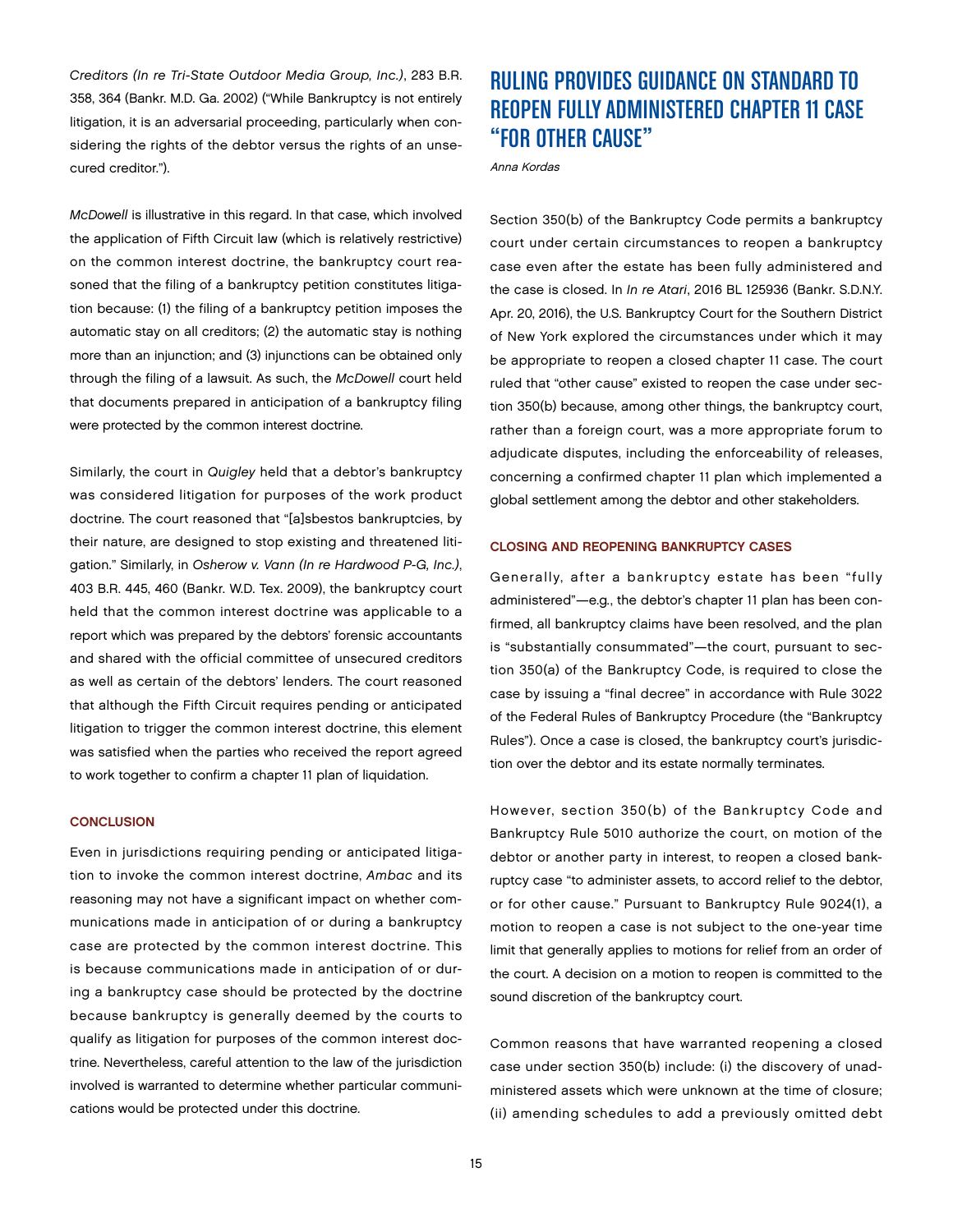*Creditors (In re Tri-State Outdoor Media Group, Inc.)*, 283 B.R. 358, 364 (Bankr. M.D. Ga. 2002) ("While Bankruptcy is not entirely litigation, it is an adversarial proceeding, particularly when considering the rights of the debtor versus the rights of an unsecured creditor.").

*McDowell* is illustrative in this regard. In that case, which involved the application of Fifth Circuit law (which is relatively restrictive) on the common interest doctrine, the bankruptcy court reasoned that the filing of a bankruptcy petition constitutes litigation because: (1) the filing of a bankruptcy petition imposes the automatic stay on all creditors; (2) the automatic stay is nothing more than an injunction; and (3) injunctions can be obtained only through the filing of a lawsuit. As such, the *McDowell* court held that documents prepared in anticipation of a bankruptcy filing were protected by the common interest doctrine.

Similarly, the court in *Quigley* held that a debtor's bankruptcy was considered litigation for purposes of the work product doctrine. The court reasoned that "[a]sbestos bankruptcies, by their nature, are designed to stop existing and threatened litigation." Similarly, in *Osherow v. Vann (In re Hardwood P-G, Inc.)*, 403 B.R. 445, 460 (Bankr. W.D. Tex. 2009), the bankruptcy court held that the common interest doctrine was applicable to a report which was prepared by the debtors' forensic accountants and shared with the official committee of unsecured creditors as well as certain of the debtors' lenders. The court reasoned that although the Fifth Circuit requires pending or anticipated litigation to trigger the common interest doctrine, this element was satisfied when the parties who received the report agreed to work together to confirm a chapter 11 plan of liquidation.

#### **CONCLUSION**

Even in jurisdictions requiring pending or anticipated litigation to invoke the common interest doctrine, *Ambac* and its reasoning may not have a significant impact on whether communications made in anticipation of or during a bankruptcy case are protected by the common interest doctrine. This is because communications made in anticipation of or during a bankruptcy case should be protected by the doctrine because bankruptcy is generally deemed by the courts to qualify as litigation for purposes of the common interest doctrine. Nevertheless, careful attention to the law of the jurisdiction involved is warranted to determine whether particular communications would be protected under this doctrine.

## RULING PROVIDES GUIDANCE ON STANDARD TO REOPEN FULLY ADMINISTERED CHAPTER 11 CASE "FOR OTHER CAUSE"

Anna Kordas

Section 350(b) of the Bankruptcy Code permits a bankruptcy court under certain circumstances to reopen a bankruptcy case even after the estate has been fully administered and the case is closed. In *In re Atari*, 2016 BL 125936 (Bankr. S.D.N.Y. Apr. 20, 2016), the U.S. Bankruptcy Court for the Southern District of New York explored the circumstances under which it may be appropriate to reopen a closed chapter 11 case. The court ruled that "other cause" existed to reopen the case under section 350(b) because, among other things, the bankruptcy court, rather than a foreign court, was a more appropriate forum to adjudicate disputes, including the enforceability of releases, concerning a confirmed chapter 11 plan which implemented a global settlement among the debtor and other stakeholders.

#### CLOSING AND REOPENING BANKRUPTCY CASES

Generally, after a bankruptcy estate has been "fully administered"—e.g*.*, the debtor's chapter 11 plan has been confirmed, all bankruptcy claims have been resolved, and the plan is "substantially consummated"—the court, pursuant to section 350(a) of the Bankruptcy Code, is required to close the case by issuing a "final decree" in accordance with Rule 3022 of the Federal Rules of Bankruptcy Procedure (the "Bankruptcy Rules"). Once a case is closed, the bankruptcy court's jurisdiction over the debtor and its estate normally terminates.

However, section 350(b) of the Bankruptcy Code and Bankruptcy Rule 5010 authorize the court, on motion of the debtor or another party in interest, to reopen a closed bankruptcy case "to administer assets, to accord relief to the debtor, or for other cause." Pursuant to Bankruptcy Rule 9024(1), a motion to reopen a case is not subject to the one-year time limit that generally applies to motions for relief from an order of the court. A decision on a motion to reopen is committed to the sound discretion of the bankruptcy court.

Common reasons that have warranted reopening a closed case under section 350(b) include: (i) the discovery of unadministered assets which were unknown at the time of closure; (ii) amending schedules to add a previously omitted debt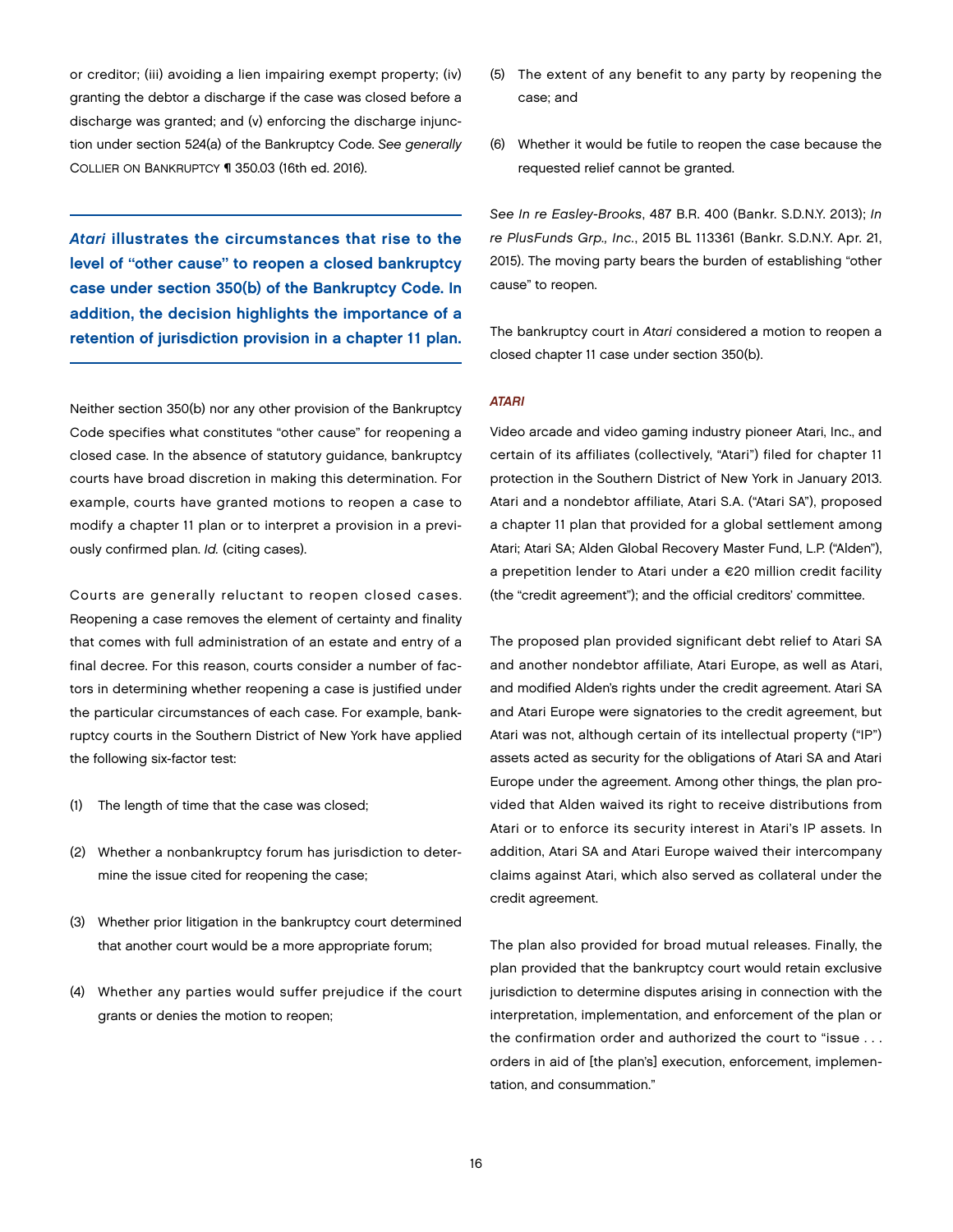or creditor; (iii) avoiding a lien impairing exempt property; (iv) granting the debtor a discharge if the case was closed before a discharge was granted; and (v) enforcing the discharge injunction under section 524(a) of the Bankruptcy Code. *See generally* COLLIER ON BANKRUPTCY ¶ 350.03 (16th ed. 2016).

*Atari* illustrates the circumstances that rise to the level of "other cause" to reopen a closed bankruptcy case under section 350(b) of the Bankruptcy Code. In addition, the decision highlights the importance of a retention of jurisdiction provision in a chapter 11 plan.

Neither section 350(b) nor any other provision of the Bankruptcy Code specifies what constitutes "other cause" for reopening a closed case. In the absence of statutory guidance, bankruptcy courts have broad discretion in making this determination. For example, courts have granted motions to reopen a case to modify a chapter 11 plan or to interpret a provision in a previously confirmed plan. *Id.* (citing cases).

Courts are generally reluctant to reopen closed cases. Reopening a case removes the element of certainty and finality that comes with full administration of an estate and entry of a final decree. For this reason, courts consider a number of factors in determining whether reopening a case is justified under the particular circumstances of each case. For example, bankruptcy courts in the Southern District of New York have applied the following six-factor test:

- (1) The length of time that the case was closed;
- (2) Whether a nonbankruptcy forum has jurisdiction to determine the issue cited for reopening the case;
- (3) Whether prior litigation in the bankruptcy court determined that another court would be a more appropriate forum;
- (4) Whether any parties would suffer prejudice if the court grants or denies the motion to reopen;
- (5) The extent of any benefit to any party by reopening the case; and
- (6) Whether it would be futile to reopen the case because the requested relief cannot be granted.

*See In re Easley-Brooks*, 487 B.R. 400 (Bankr. S.D.N.Y. 2013); *In re PlusFunds Grp., Inc.*, 2015 BL 113361 (Bankr. S.D.N.Y. Apr. 21, 2015). The moving party bears the burden of establishing "other cause" to reopen.

The bankruptcy court in *Atari* considered a motion to reopen a closed chapter 11 case under section 350(b).

#### *ATARI*

Video arcade and video gaming industry pioneer Atari, Inc., and certain of its affiliates (collectively, "Atari") filed for chapter 11 protection in the Southern District of New York in January 2013. Atari and a nondebtor affiliate, Atari S.A. ("Atari SA"), proposed a chapter 11 plan that provided for a global settlement among Atari; Atari SA; Alden Global Recovery Master Fund, L.P. ("Alden"), a prepetition lender to Atari under a €20 million credit facility (the "credit agreement"); and the official creditors' committee.

The proposed plan provided significant debt relief to Atari SA and another nondebtor affiliate, Atari Europe, as well as Atari, and modified Alden's rights under the credit agreement. Atari SA and Atari Europe were signatories to the credit agreement, but Atari was not, although certain of its intellectual property ("IP") assets acted as security for the obligations of Atari SA and Atari Europe under the agreement. Among other things, the plan provided that Alden waived its right to receive distributions from Atari or to enforce its security interest in Atari's IP assets. In addition, Atari SA and Atari Europe waived their intercompany claims against Atari, which also served as collateral under the credit agreement.

The plan also provided for broad mutual releases. Finally, the plan provided that the bankruptcy court would retain exclusive jurisdiction to determine disputes arising in connection with the interpretation, implementation, and enforcement of the plan or the confirmation order and authorized the court to "issue . . . orders in aid of [the plan's] execution, enforcement, implementation, and consummation."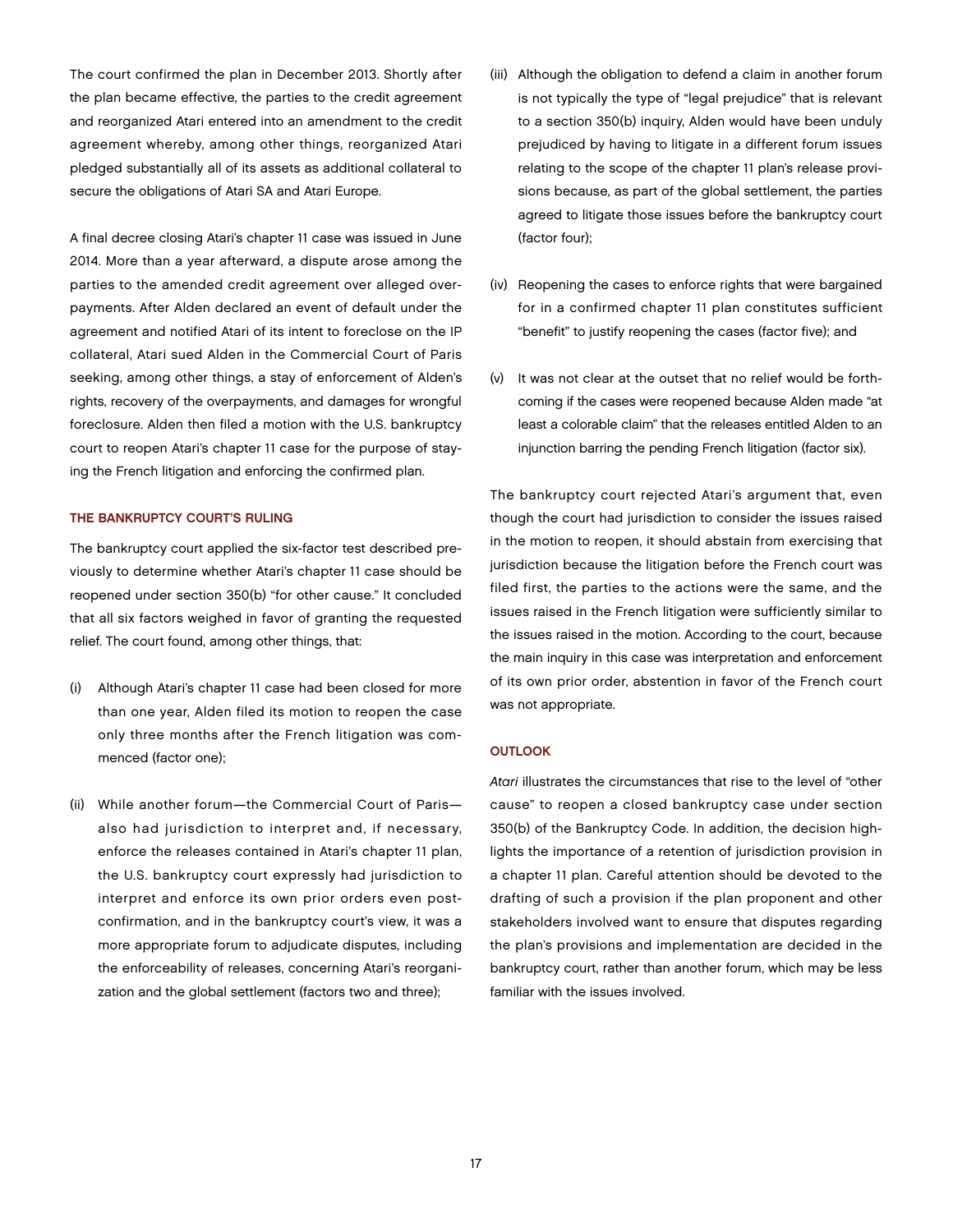The court confirmed the plan in December 2013. Shortly after the plan became effective, the parties to the credit agreement and reorganized Atari entered into an amendment to the credit agreement whereby, among other things, reorganized Atari pledged substantially all of its assets as additional collateral to secure the obligations of Atari SA and Atari Europe.

A final decree closing Atari's chapter 11 case was issued in June 2014. More than a year afterward, a dispute arose among the parties to the amended credit agreement over alleged overpayments. After Alden declared an event of default under the agreement and notified Atari of its intent to foreclose on the IP collateral, Atari sued Alden in the Commercial Court of Paris seeking, among other things, a stay of enforcement of Alden's rights, recovery of the overpayments, and damages for wrongful foreclosure. Alden then filed a motion with the U.S. bankruptcy court to reopen Atari's chapter 11 case for the purpose of staying the French litigation and enforcing the confirmed plan.

#### THE BANKRUPTCY COURT'S RULING

The bankruptcy court applied the six-factor test described previously to determine whether Atari's chapter 11 case should be reopened under section 350(b) "for other cause." It concluded that all six factors weighed in favor of granting the requested relief. The court found, among other things, that:

- (i) Although Atari's chapter 11 case had been closed for more than one year, Alden filed its motion to reopen the case only three months after the French litigation was commenced (factor one);
- (ii) While another forum—the Commercial Court of Paris also had jurisdiction to interpret and, if necessary, enforce the releases contained in Atari's chapter 11 plan, the U.S. bankruptcy court expressly had jurisdiction to interpret and enforce its own prior orders even postconfirmation, and in the bankruptcy court's view, it was a more appropriate forum to adjudicate disputes, including the enforceability of releases, concerning Atari's reorganization and the global settlement (factors two and three);
- (iii) Although the obligation to defend a claim in another forum is not typically the type of "legal prejudice" that is relevant to a section 350(b) inquiry, Alden would have been unduly prejudiced by having to litigate in a different forum issues relating to the scope of the chapter 11 plan's release provisions because, as part of the global settlement, the parties agreed to litigate those issues before the bankruptcy court (factor four);
- (iv) Reopening the cases to enforce rights that were bargained for in a confirmed chapter 11 plan constitutes sufficient "benefit" to justify reopening the cases (factor five); and
- (v) It was not clear at the outset that no relief would be forthcoming if the cases were reopened because Alden made "at least a colorable claim" that the releases entitled Alden to an injunction barring the pending French litigation (factor six).

The bankruptcy court rejected Atari's argument that, even though the court had jurisdiction to consider the issues raised in the motion to reopen, it should abstain from exercising that jurisdiction because the litigation before the French court was filed first, the parties to the actions were the same, and the issues raised in the French litigation were sufficiently similar to the issues raised in the motion. According to the court, because the main inquiry in this case was interpretation and enforcement of its own prior order, abstention in favor of the French court was not appropriate.

#### **OUTLOOK**

*Atari* illustrates the circumstances that rise to the level of "other cause" to reopen a closed bankruptcy case under section 350(b) of the Bankruptcy Code. In addition, the decision highlights the importance of a retention of jurisdiction provision in a chapter 11 plan. Careful attention should be devoted to the drafting of such a provision if the plan proponent and other stakeholders involved want to ensure that disputes regarding the plan's provisions and implementation are decided in the bankruptcy court, rather than another forum, which may be less familiar with the issues involved.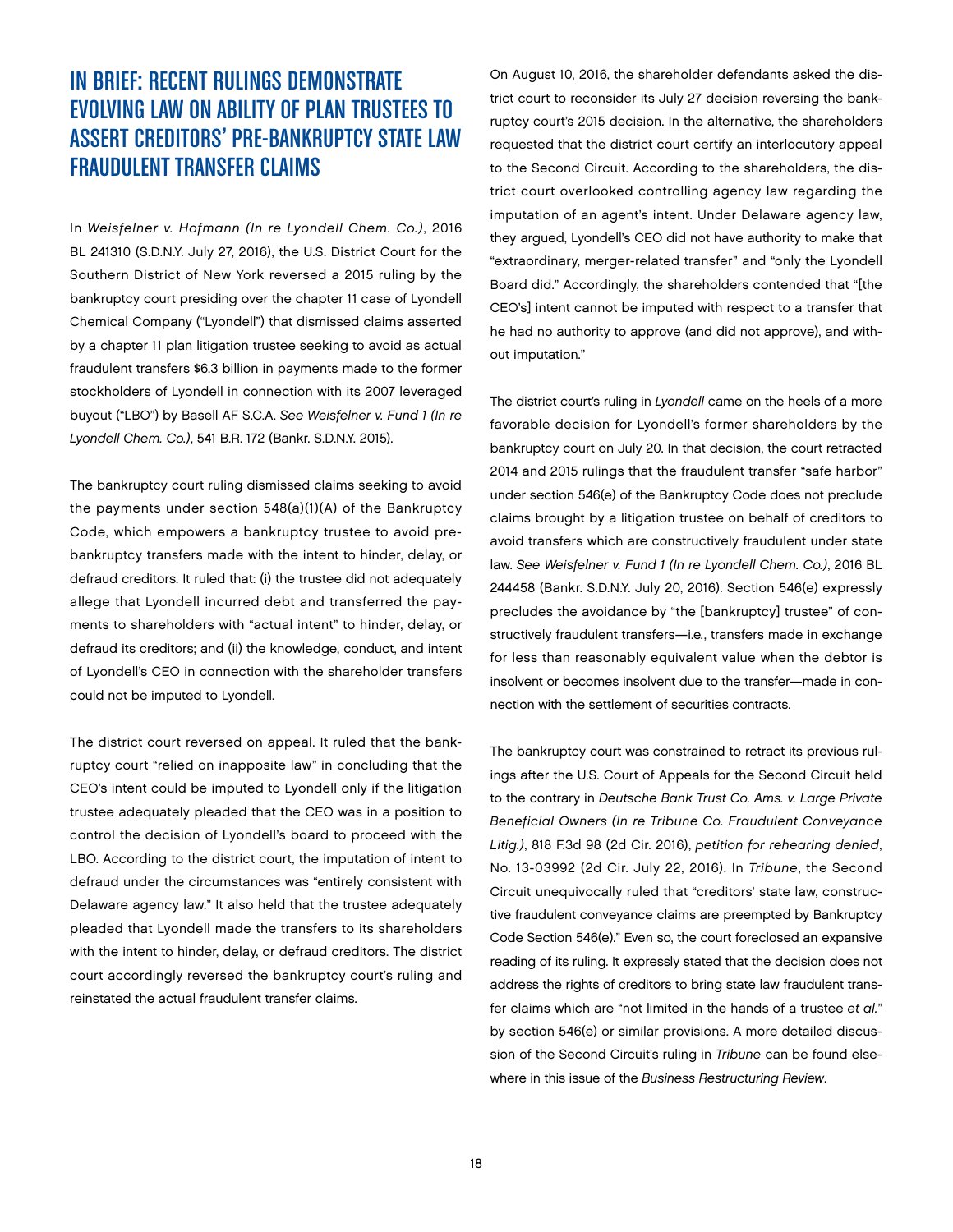## IN BRIEF: RECENT RULINGS DEMONSTRATE EVOLVING LAW ON ABILITY OF PLAN TRUSTEES TO ASSERT CREDITORS' PRE-BANKRUPTCY STATE LAW FRAUDULENT TRANSFER CLAIMS

In *Weisfelner v. Hofmann (In re Lyondell Chem. Co.)*, 2016 BL 241310 (S.D.N.Y. July 27, 2016), the U.S. District Court for the Southern District of New York reversed a 2015 ruling by the bankruptcy court presiding over the chapter 11 case of Lyondell Chemical Company ("Lyondell") that dismissed claims asserted by a chapter 11 plan litigation trustee seeking to avoid as actual fraudulent transfers \$6.3 billion in payments made to the former stockholders of Lyondell in connection with its 2007 leveraged buyout ("LBO") by Basell AF S.C.A. *See Weisfelner v. Fund 1 (In re Lyondell Chem. Co.)*, 541 B.R. 172 (Bankr. S.D.N.Y. 2015).

The bankruptcy court ruling dismissed claims seeking to avoid the payments under section 548(a)(1)(A) of the Bankruptcy Code, which empowers a bankruptcy trustee to avoid prebankruptcy transfers made with the intent to hinder, delay, or defraud creditors. It ruled that: (i) the trustee did not adequately allege that Lyondell incurred debt and transferred the payments to shareholders with "actual intent" to hinder, delay, or defraud its creditors; and (ii) the knowledge, conduct, and intent of Lyondell's CEO in connection with the shareholder transfers could not be imputed to Lyondell.

The district court reversed on appeal. It ruled that the bankruptcy court "relied on inapposite law" in concluding that the CEO's intent could be imputed to Lyondell only if the litigation trustee adequately pleaded that the CEO was in a position to control the decision of Lyondell's board to proceed with the LBO. According to the district court, the imputation of intent to defraud under the circumstances was "entirely consistent with Delaware agency law." It also held that the trustee adequately pleaded that Lyondell made the transfers to its shareholders with the intent to hinder, delay, or defraud creditors. The district court accordingly reversed the bankruptcy court's ruling and reinstated the actual fraudulent transfer claims.

On August 10, 2016, the shareholder defendants asked the district court to reconsider its July 27 decision reversing the bankruptcy court's 2015 decision. In the alternative, the shareholders requested that the district court certify an interlocutory appeal to the Second Circuit. According to the shareholders, the district court overlooked controlling agency law regarding the imputation of an agent's intent. Under Delaware agency law, they argued, Lyondell's CEO did not have authority to make that "extraordinary, merger-related transfer" and "only the Lyondell Board did." Accordingly, the shareholders contended that "[the CEO's] intent cannot be imputed with respect to a transfer that he had no authority to approve (and did not approve), and without imputation."

The district court's ruling in *Lyondell* came on the heels of a more favorable decision for Lyondell's former shareholders by the bankruptcy court on July 20. In that decision, the court retracted 2014 and 2015 rulings that the fraudulent transfer "safe harbor" under section 546(e) of the Bankruptcy Code does not preclude claims brought by a litigation trustee on behalf of creditors to avoid transfers which are constructively fraudulent under state law. *See Weisfelner v. Fund 1 (In re Lyondell Chem. Co.)*, 2016 BL 244458 (Bankr. S.D.N.Y. July 20, 2016). Section 546(e) expressly precludes the avoidance by "the [bankruptcy] trustee" of constructively fraudulent transfers—i.e*.*, transfers made in exchange for less than reasonably equivalent value when the debtor is insolvent or becomes insolvent due to the transfer—made in connection with the settlement of securities contracts.

The bankruptcy court was constrained to retract its previous rulings after the U.S. Court of Appeals for the Second Circuit held to the contrary in *Deutsche Bank Trust Co. Ams. v. Large Private Beneficial Owners (In re Tribune Co. Fraudulent Conveyance Litig.)*, 818 F.3d 98 (2d Cir. 2016), *petition for rehearing denied*, No. 13-03992 (2d Cir. July 22, 2016). In *Tribune*, the Second Circuit unequivocally ruled that "creditors' state law, constructive fraudulent conveyance claims are preempted by Bankruptcy Code Section 546(e)." Even so, the court foreclosed an expansive reading of its ruling. It expressly stated that the decision does not address the rights of creditors to bring state law fraudulent transfer claims which are "not limited in the hands of a trustee *et al.*" by section 546(e) or similar provisions. A more detailed discussion of the Second Circuit's ruling in *Tribune* can be found elsewhere in this issue of the *Business Restructuring Review*.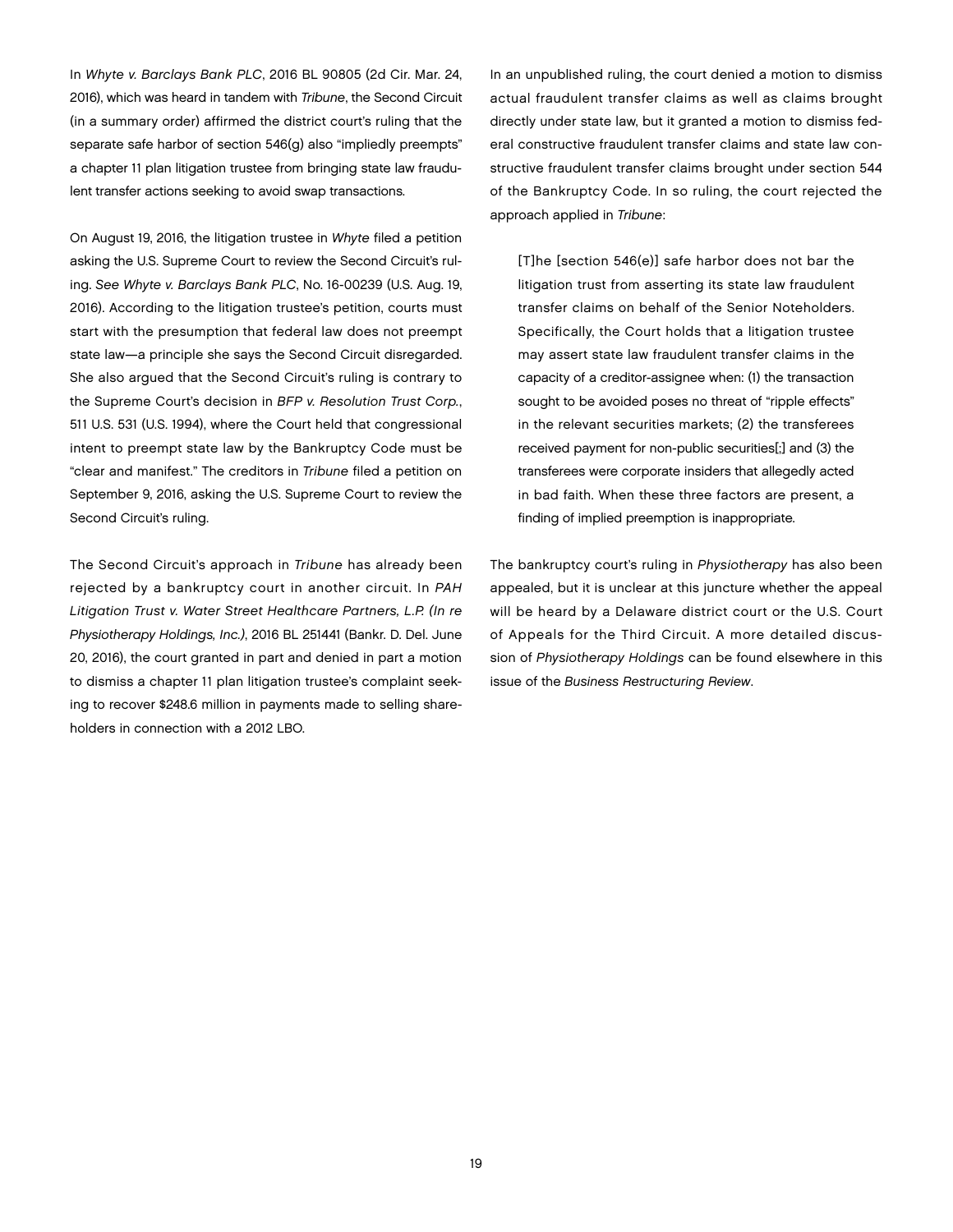In *Whyte v. Barclays Bank PLC*, 2016 BL 90805 (2d Cir. Mar. 24, 2016), which was heard in tandem with *Tribune*, the Second Circuit (in a summary order) affirmed the district court's ruling that the separate safe harbor of section 546(g) also "impliedly preempts" a chapter 11 plan litigation trustee from bringing state law fraudulent transfer actions seeking to avoid swap transactions.

On August 19, 2016, the litigation trustee in *Whyte* filed a petition asking the U.S. Supreme Court to review the Second Circuit's ruling. *See Whyte v. Barclays Bank PLC*, No. 16-00239 (U.S. Aug. 19, 2016). According to the litigation trustee's petition, courts must start with the presumption that federal law does not preempt state law—a principle she says the Second Circuit disregarded. She also argued that the Second Circuit's ruling is contrary to the Supreme Court's decision in *BFP v. Resolution Trust Corp.*, 511 U.S. 531 (U.S. 1994), where the Court held that congressional intent to preempt state law by the Bankruptcy Code must be "clear and manifest." The creditors in *Tribune* filed a petition on September 9, 2016, asking the U.S. Supreme Court to review the Second Circuit's ruling.

The Second Circuit's approach in *Tribune* has already been rejected by a bankruptcy court in another circuit. In *PAH Litigation Trust v. Water Street Healthcare Partners, L.P. (In re Physiotherapy Holdings, Inc.)*, 2016 BL 251441 (Bankr. D. Del. June 20, 2016), the court granted in part and denied in part a motion to dismiss a chapter 11 plan litigation trustee's complaint seeking to recover \$248.6 million in payments made to selling shareholders in connection with a 2012 LBO.

In an unpublished ruling, the court denied a motion to dismiss actual fraudulent transfer claims as well as claims brought directly under state law, but it granted a motion to dismiss federal constructive fraudulent transfer claims and state law constructive fraudulent transfer claims brought under section 544 of the Bankruptcy Code. In so ruling, the court rejected the approach applied in *Tribune*:

[T]he [section 546(e)] safe harbor does not bar the litigation trust from asserting its state law fraudulent transfer claims on behalf of the Senior Noteholders. Specifically, the Court holds that a litigation trustee may assert state law fraudulent transfer claims in the capacity of a creditor-assignee when: (1) the transaction sought to be avoided poses no threat of "ripple effects" in the relevant securities markets; (2) the transferees received payment for non-public securities[;] and (3) the transferees were corporate insiders that allegedly acted in bad faith. When these three factors are present, a finding of implied preemption is inappropriate.

The bankruptcy court's ruling in *Physiotherapy* has also been appealed, but it is unclear at this juncture whether the appeal will be heard by a Delaware district court or the U.S. Court of Appeals for the Third Circuit. A more detailed discussion of *Physiotherapy Holdings* can be found elsewhere in this issue of the *Business Restructuring Review*.